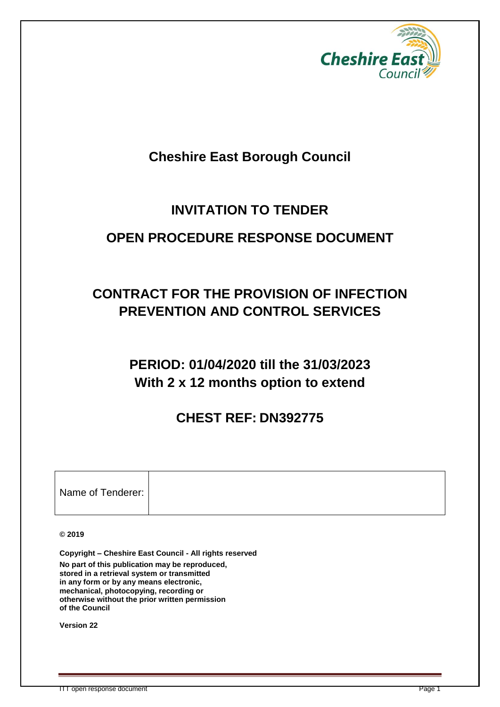

# **Cheshire East Borough Council**

# **INVITATION TO TENDER**

# **OPEN PROCEDURE RESPONSE DOCUMENT**

# **CONTRACT FOR THE PROVISION OF INFECTION PREVENTION AND CONTROL SERVICES**

# **PERIOD: 01/04/2020 till the 31/03/2023 With 2 x 12 months option to extend**

# **CHEST REF: DN392775**

| Name of Tenderer: |  |
|-------------------|--|

**© 2019**

**Copyright – Cheshire East Council - All rights reserved No part of this publication may be reproduced, stored in a retrieval system or transmitted in any form or by any means electronic, mechanical, photocopying, recording or otherwise without the prior written permission of the Council**

**Version 22**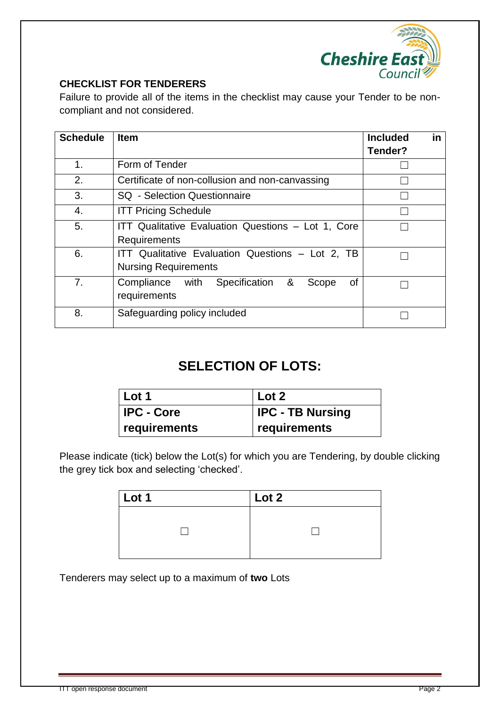

#### **CHECKLIST FOR TENDERERS**

Failure to provide all of the items in the checklist may cause your Tender to be noncompliant and not considered.

| <b>Schedule</b> | <b>Item</b>                                                                     | in<br><b>Included</b><br>Tender? |
|-----------------|---------------------------------------------------------------------------------|----------------------------------|
| 1.              | Form of Tender                                                                  |                                  |
| 2.              | Certificate of non-collusion and non-canvassing                                 |                                  |
| 3.              | <b>SQ</b> - Selection Questionnaire                                             |                                  |
| 4.              | <b>ITT Pricing Schedule</b>                                                     |                                  |
| 5.              | ITT Qualitative Evaluation Questions - Lot 1, Core<br>Requirements              |                                  |
| 6.              | ITT Qualitative Evaluation Questions - Lot 2, TB<br><b>Nursing Requirements</b> |                                  |
| 7.              | &<br>Specification<br>Compliance<br>with<br>Scope<br>οf<br>requirements         |                                  |
| 8.              | Safeguarding policy included                                                    |                                  |

# **SELECTION OF LOTS:**

| $ $ Lot 1         | Lot 2                   |
|-------------------|-------------------------|
| <b>IPC - Core</b> | <b>IPC - TB Nursing</b> |
| requirements      | requirements            |

Please indicate (tick) below the Lot(s) for which you are Tendering, by double clicking the grey tick box and selecting 'checked'.

| $\vert$ Lot 1 | Lot 2 |  |  |
|---------------|-------|--|--|
|               |       |  |  |

Tenderers may select up to a maximum of **two** Lots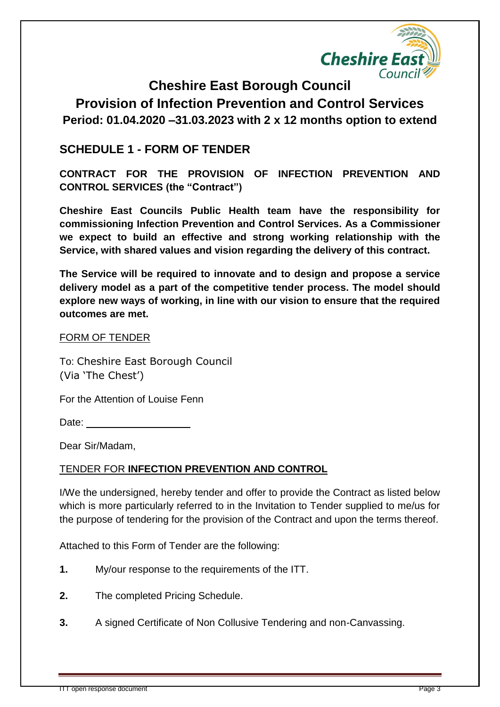

**Cheshire East Borough Council Provision of Infection Prevention and Control Services Period: 01.04.2020 –31.03.2023 with 2 x 12 months option to extend**

## **SCHEDULE 1 - FORM OF TENDER**

**CONTRACT FOR THE PROVISION OF INFECTION PREVENTION AND CONTROL SERVICES (the "Contract")**

**Cheshire East Councils Public Health team have the responsibility for commissioning Infection Prevention and Control Services. As a Commissioner we expect to build an effective and strong working relationship with the Service, with shared values and vision regarding the delivery of this contract.**

**The Service will be required to innovate and to design and propose a service delivery model as a part of the competitive tender process. The model should explore new ways of working, in line with our vision to ensure that the required outcomes are met.** 

#### FORM OF TENDER

To: Cheshire East Borough Council (Via 'The Chest')

For the Attention of Louise Fenn

Date:

Dear Sir/Madam,

#### TENDER FOR **INFECTION PREVENTION AND CONTROL**

I/We the undersigned, hereby tender and offer to provide the Contract as listed below which is more particularly referred to in the Invitation to Tender supplied to me/us for the purpose of tendering for the provision of the Contract and upon the terms thereof.

Attached to this Form of Tender are the following:

- **1.** My/our response to the requirements of the ITT.
- **2.** The completed Pricing Schedule.
- **3.** A signed Certificate of Non Collusive Tendering and non-Canvassing.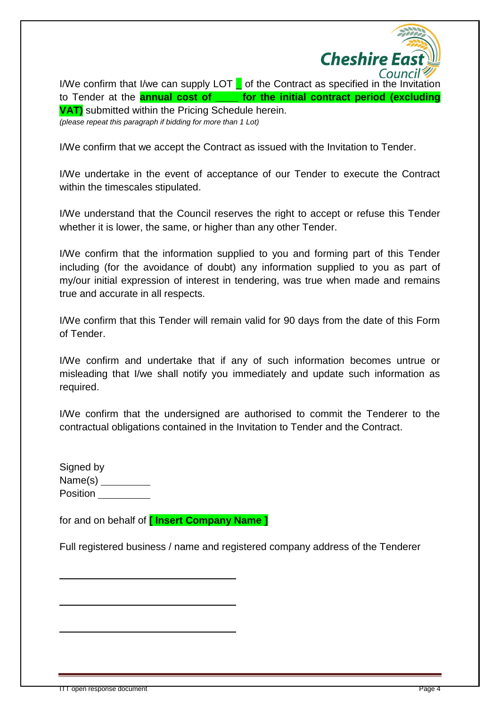

I/We confirm that I/we can supply LOT  $\Box$  of the Contract as specified in the Invitation to Tender at the **annual cost of \_\_\_\_ for the initial contract period (excluding VAT)** submitted within the Pricing Schedule herein. *(please repeat this paragraph if bidding for more than 1 Lot)*

I/We confirm that we accept the Contract as issued with the Invitation to Tender.

I/We undertake in the event of acceptance of our Tender to execute the Contract within the timescales stipulated.

I/We understand that the Council reserves the right to accept or refuse this Tender whether it is lower, the same, or higher than any other Tender.

I/We confirm that the information supplied to you and forming part of this Tender including (for the avoidance of doubt) any information supplied to you as part of my/our initial expression of interest in tendering, was true when made and remains true and accurate in all respects.

I/We confirm that this Tender will remain valid for 90 days from the date of this Form of Tender.

I/We confirm and undertake that if any of such information becomes untrue or misleading that I/we shall notify you immediately and update such information as required.

I/We confirm that the undersigned are authorised to commit the Tenderer to the contractual obligations contained in the Invitation to Tender and the Contract.

| Signed by |  |
|-----------|--|
| Name(s)   |  |
| Position  |  |
|           |  |

for and on behalf of **[ Insert Company Name ]**

 **.**

 **.**

 **.**

Full registered business / name and registered company address of the Tenderer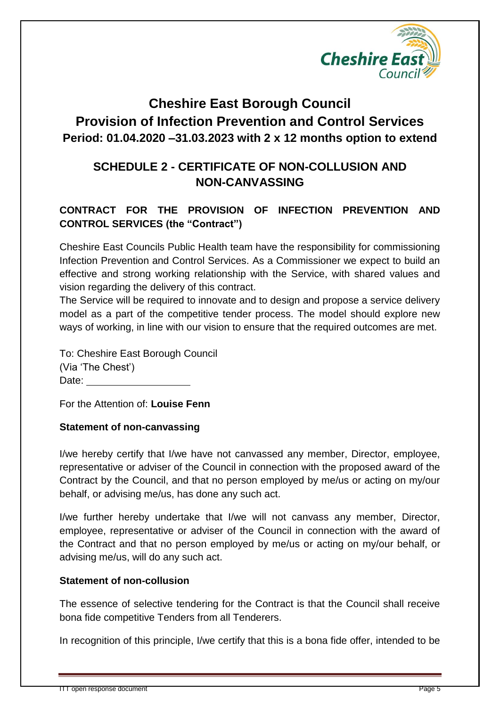

# **Cheshire East Borough Council Provision of Infection Prevention and Control Services Period: 01.04.2020 –31.03.2023 with 2 x 12 months option to extend**

## **SCHEDULE 2 - CERTIFICATE OF NON-COLLUSION AND NON-CANVASSING**

## **CONTRACT FOR THE PROVISION OF INFECTION PREVENTION AND CONTROL SERVICES (the "Contract")**

Cheshire East Councils Public Health team have the responsibility for commissioning Infection Prevention and Control Services. As a Commissioner we expect to build an effective and strong working relationship with the Service, with shared values and vision regarding the delivery of this contract.

The Service will be required to innovate and to design and propose a service delivery model as a part of the competitive tender process. The model should explore new ways of working, in line with our vision to ensure that the required outcomes are met.

To: Cheshire East Borough Council (Via 'The Chest') Date:

For the Attention of: **Louise Fenn** 

#### **Statement of non-canvassing**

I/we hereby certify that I/we have not canvassed any member, Director, employee, representative or adviser of the Council in connection with the proposed award of the Contract by the Council, and that no person employed by me/us or acting on my/our behalf, or advising me/us, has done any such act.

I/we further hereby undertake that I/we will not canvass any member, Director, employee, representative or adviser of the Council in connection with the award of the Contract and that no person employed by me/us or acting on my/our behalf, or advising me/us, will do any such act.

#### **Statement of non-collusion**

The essence of selective tendering for the Contract is that the Council shall receive bona fide competitive Tenders from all Tenderers.

In recognition of this principle, I/we certify that this is a bona fide offer, intended to be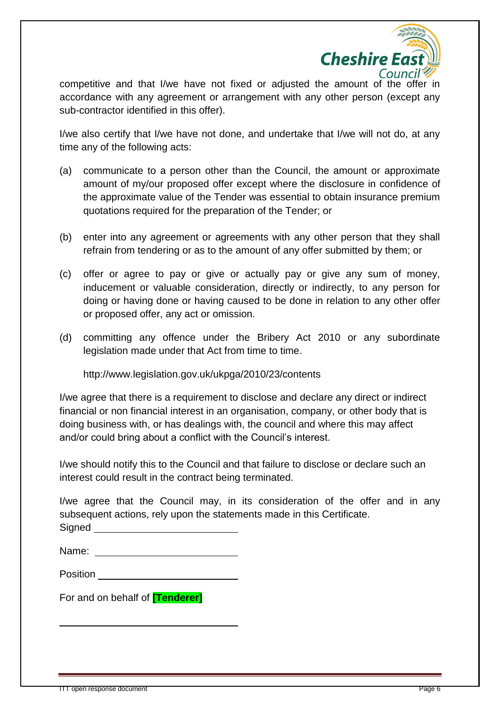

competitive and that I/we have not fixed or adjusted the amount of the offer in accordance with any agreement or arrangement with any other person (except any sub-contractor identified in this offer).

I/we also certify that I/we have not done, and undertake that I/we will not do, at any time any of the following acts:

- (a) communicate to a person other than the Council, the amount or approximate amount of my/our proposed offer except where the disclosure in confidence of the approximate value of the Tender was essential to obtain insurance premium quotations required for the preparation of the Tender; or
- (b) enter into any agreement or agreements with any other person that they shall refrain from tendering or as to the amount of any offer submitted by them; or
- (c) offer or agree to pay or give or actually pay or give any sum of money, inducement or valuable consideration, directly or indirectly, to any person for doing or having done or having caused to be done in relation to any other offer or proposed offer, any act or omission.
- (d) committing any offence under the Bribery Act 2010 or any subordinate legislation made under that Act from time to time.

http://www.legislation.gov.uk/ukpga/2010/23/contents

I/we agree that there is a requirement to disclose and declare any direct or indirect financial or non financial interest in an organisation, company, or other body that is doing business with, or has dealings with, the council and where this may affect and/or could bring about a conflict with the Council's interest.

I/we should notify this to the Council and that failure to disclose or declare such an interest could result in the contract being terminated.

I/we agree that the Council may, in its consideration of the offer and in any subsequent actions, rely upon the statements made in this Certificate. Signed

| ೆ. ಅಂ |  |
|-------|--|
|       |  |
|       |  |
|       |  |
|       |  |
|       |  |

| Name: |  |
|-------|--|
|       |  |

For and on behalf of **[Tenderer]**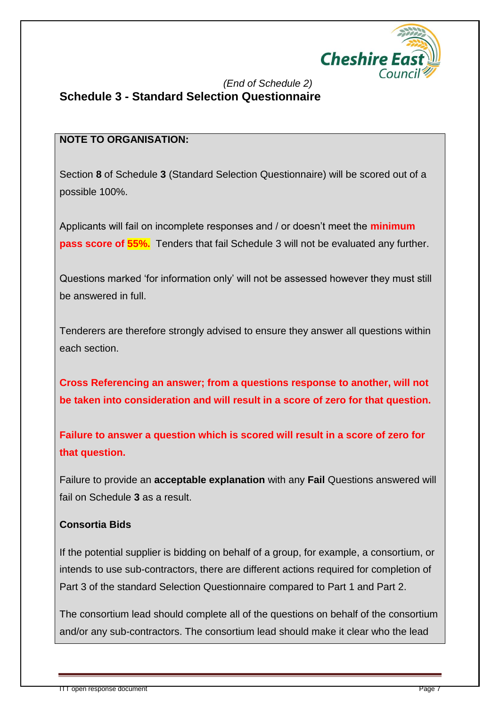

## *(End of Schedule 2)* **Schedule 3 - Standard Selection Questionnaire**

### **NOTE TO ORGANISATION:**

Section **8** of Schedule **3** (Standard Selection Questionnaire) will be scored out of a possible 100%.

Applicants will fail on incomplete responses and / or doesn't meet the **minimum pass score of 55%.** Tenders that fail Schedule 3 will not be evaluated any further.

Questions marked 'for information only' will not be assessed however they must still be answered in full.

Tenderers are therefore strongly advised to ensure they answer all questions within each section.

**Cross Referencing an answer; from a questions response to another, will not be taken into consideration and will result in a score of zero for that question.**

**Failure to answer a question which is scored will result in a score of zero for that question.** 

Failure to provide an **acceptable explanation** with any **Fail** Questions answered will fail on Schedule **3** as a result.

## **Consortia Bids**

If the potential supplier is bidding on behalf of a group, for example, a consortium, or intends to use sub-contractors, there are different actions required for completion of Part 3 of the standard Selection Questionnaire compared to Part 1 and Part 2.

The consortium lead should complete all of the questions on behalf of the consortium and/or any sub-contractors. The consortium lead should make it clear who the lead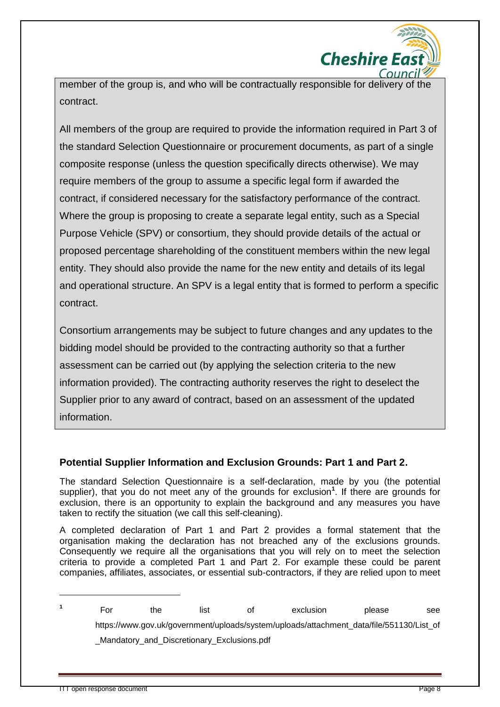

member of the group is, and who will be contractually responsible for delivery of the contract.

All members of the group are required to provide the information required in Part 3 of the standard Selection Questionnaire or procurement documents, as part of a single composite response (unless the question specifically directs otherwise). We may require members of the group to assume a specific legal form if awarded the contract, if considered necessary for the satisfactory performance of the contract. Where the group is proposing to create a separate legal entity, such as a Special Purpose Vehicle (SPV) or consortium, they should provide details of the actual or proposed percentage shareholding of the constituent members within the new legal entity. They should also provide the name for the new entity and details of its legal and operational structure. An SPV is a legal entity that is formed to perform a specific contract.

Consortium arrangements may be subject to future changes and any updates to the bidding model should be provided to the contracting authority so that a further assessment can be carried out (by applying the selection criteria to the new information provided). The contracting authority reserves the right to deselect the Supplier prior to any award of contract, based on an assessment of the updated information.

#### **Potential Supplier Information and Exclusion Grounds: Part 1 and Part 2.**

The standard Selection Questionnaire is a self-declaration, made by you (the potential supplier), that you do not meet any of the grounds for exclusion<sup>1</sup>. If there are grounds for exclusion, there is an opportunity to explain the background and any measures you have taken to rectify the situation (we call this self-cleaning).

A completed declaration of Part 1 and Part 2 provides a formal statement that the organisation making the declaration has not breached any of the exclusions grounds. Consequently we require all the organisations that you will rely on to meet the selection criteria to provide a completed Part 1 and Part 2. For example these could be parent companies, affiliates, associates, or essential sub-contractors, if they are relied upon to meet

 $\overline{a}$ 

**<sup>1</sup>** For the list of exclusion please see https://www.gov.uk/government/uploads/system/uploads/attachment\_data/file/551130/List\_of \_Mandatory\_and\_Discretionary\_Exclusions.pdf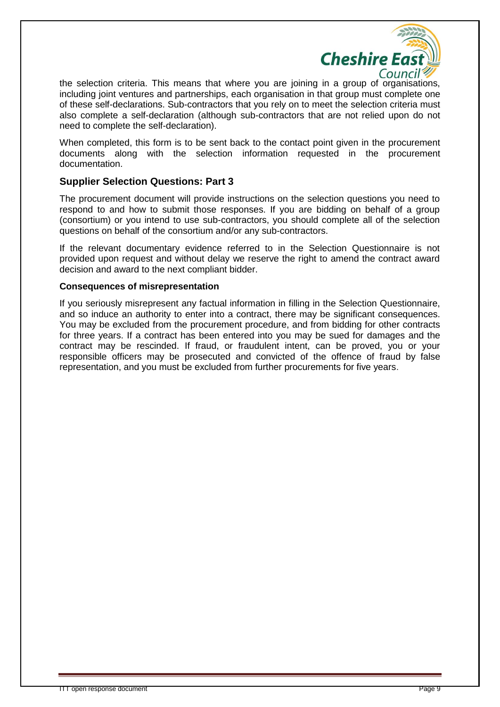

the selection criteria. This means that where you are joining in a group of organisations, including joint ventures and partnerships, each organisation in that group must complete one of these self-declarations. Sub-contractors that you rely on to meet the selection criteria must also complete a self-declaration (although sub-contractors that are not relied upon do not need to complete the self-declaration).

When completed, this form is to be sent back to the contact point given in the procurement documents along with the selection information requested in the procurement documentation.

#### **Supplier Selection Questions: Part 3**

The procurement document will provide instructions on the selection questions you need to respond to and how to submit those responses. If you are bidding on behalf of a group (consortium) or you intend to use sub-contractors, you should complete all of the selection questions on behalf of the consortium and/or any sub-contractors.

If the relevant documentary evidence referred to in the Selection Questionnaire is not provided upon request and without delay we reserve the right to amend the contract award decision and award to the next compliant bidder.

#### **Consequences of misrepresentation**

If you seriously misrepresent any factual information in filling in the Selection Questionnaire, and so induce an authority to enter into a contract, there may be significant consequences. You may be excluded from the procurement procedure, and from bidding for other contracts for three years. If a contract has been entered into you may be sued for damages and the contract may be rescinded. If fraud, or fraudulent intent, can be proved, you or your responsible officers may be prosecuted and convicted of the offence of fraud by false representation, and you must be excluded from further procurements for five years.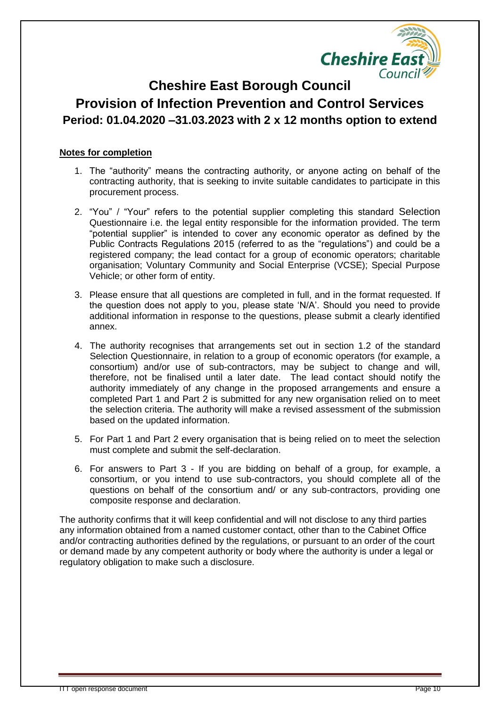

## **Cheshire East Borough Council Provision of Infection Prevention and Control Services Period: 01.04.2020 –31.03.2023 with 2 x 12 months option to extend**

#### **Notes for completion**

- 1. The "authority" means the contracting authority, or anyone acting on behalf of the contracting authority, that is seeking to invite suitable candidates to participate in this procurement process.
- 2. "You" / "Your" refers to the potential supplier completing this standard Selection Questionnaire i.e. the legal entity responsible for the information provided. The term "potential supplier" is intended to cover any economic operator as defined by the Public Contracts Regulations 2015 (referred to as the "regulations") and could be a registered company; the lead contact for a group of economic operators; charitable organisation; Voluntary Community and Social Enterprise (VCSE); Special Purpose Vehicle; or other form of entity.
- 3. Please ensure that all questions are completed in full, and in the format requested. If the question does not apply to you, please state 'N/A'. Should you need to provide additional information in response to the questions, please submit a clearly identified annex.
- 4. The authority recognises that arrangements set out in section 1.2 of the standard Selection Questionnaire, in relation to a group of economic operators (for example, a consortium) and/or use of sub-contractors, may be subject to change and will, therefore, not be finalised until a later date. The lead contact should notify the authority immediately of any change in the proposed arrangements and ensure a completed Part 1 and Part 2 is submitted for any new organisation relied on to meet the selection criteria. The authority will make a revised assessment of the submission based on the updated information.
- 5. For Part 1 and Part 2 every organisation that is being relied on to meet the selection must complete and submit the self-declaration.
- 6. For answers to Part 3 If you are bidding on behalf of a group, for example, a consortium, or you intend to use sub-contractors, you should complete all of the questions on behalf of the consortium and/ or any sub-contractors, providing one composite response and declaration.

The authority confirms that it will keep confidential and will not disclose to any third parties any information obtained from a named customer contact, other than to the Cabinet Office and/or contracting authorities defined by the regulations, or pursuant to an order of the court or demand made by any competent authority or body where the authority is under a legal or regulatory obligation to make such a disclosure.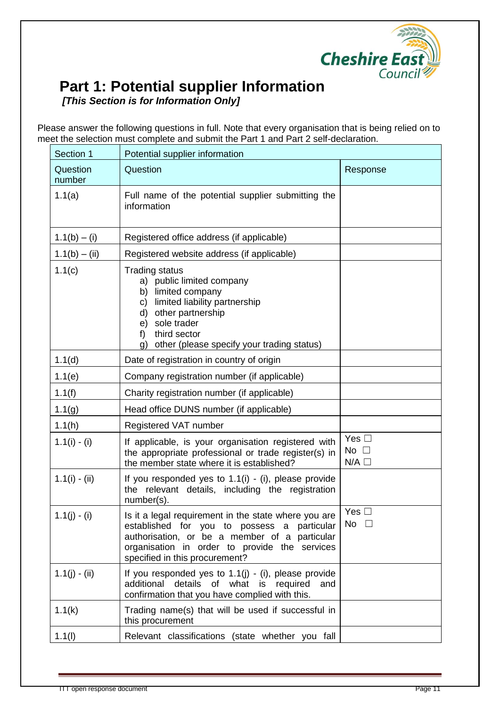

# **Part 1: Potential supplier Information**

*[This Section is for Information Only]*

Please answer the following questions in full. Note that every organisation that is being relied on to meet the selection must complete and submit the Part 1 and Part 2 self-declaration.

| Section 1          | Potential supplier information                                                                                                                                                                                                               |                                                  |
|--------------------|----------------------------------------------------------------------------------------------------------------------------------------------------------------------------------------------------------------------------------------------|--------------------------------------------------|
| Question<br>number | Question                                                                                                                                                                                                                                     | Response                                         |
| 1.1(a)             | Full name of the potential supplier submitting the<br>information                                                                                                                                                                            |                                                  |
| $1.1(b) - (i)$     | Registered office address (if applicable)                                                                                                                                                                                                    |                                                  |
| $1.1(b) - (ii)$    | Registered website address (if applicable)                                                                                                                                                                                                   |                                                  |
| 1.1(c)             | <b>Trading status</b><br>a) public limited company<br>limited company<br>b)<br>limited liability partnership<br>C)<br>d)<br>other partnership<br>sole trader<br>e)<br>third sector<br>f)<br>other (please specify your trading status)<br>g) |                                                  |
| 1.1(d)             | Date of registration in country of origin                                                                                                                                                                                                    |                                                  |
| 1.1(e)             | Company registration number (if applicable)                                                                                                                                                                                                  |                                                  |
| 1.1(f)             | Charity registration number (if applicable)                                                                                                                                                                                                  |                                                  |
| 1.1(g)             | Head office DUNS number (if applicable)                                                                                                                                                                                                      |                                                  |
| 1.1(h)             | Registered VAT number                                                                                                                                                                                                                        |                                                  |
| $1.1(i) - (i)$     | If applicable, is your organisation registered with<br>the appropriate professional or trade register(s) in<br>the member state where it is established?                                                                                     | Yes $\square$<br>No $\square$<br>$N/A$ $\square$ |
| $1.1(i) - (ii)$    | If you responded yes to $1.1(i)$ - (i), please provide<br>the relevant details, including the registration<br>number(s).                                                                                                                     |                                                  |
| $1.1(j) - (i)$     | Is it a legal requirement in the state where you are<br>established for you to possess a particular<br>authorisation, or be a member of a particular<br>organisation in order to provide the services<br>specified in this procurement?      | Yes $\square$<br>No $\square$                    |
| $1.1(j) - (ii)$    | If you responded yes to $1.1(j)$ - (i), please provide<br>additional<br>details of what is required<br>and<br>confirmation that you have complied with this.                                                                                 |                                                  |
| 1.1(k)             | Trading name(s) that will be used if successful in<br>this procurement                                                                                                                                                                       |                                                  |
| 1.1(1)             | Relevant classifications (state whether you fall                                                                                                                                                                                             |                                                  |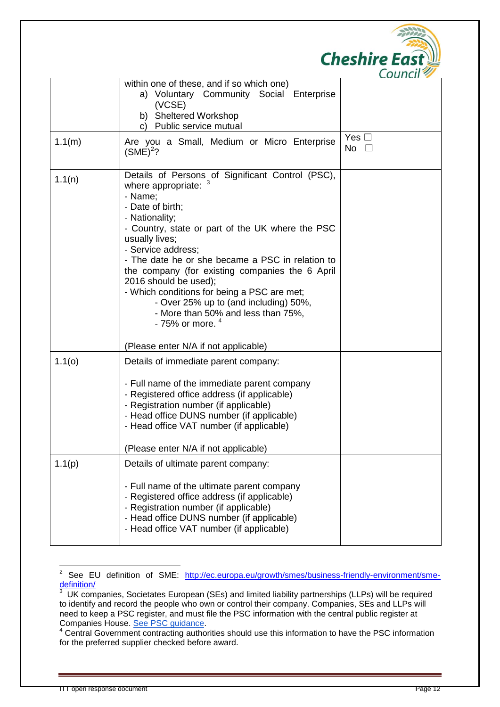|        |                                                                                                                                                                                                                                                                                                                                                                                                                                                                                                                    | <b>Cheshire East</b>       |
|--------|--------------------------------------------------------------------------------------------------------------------------------------------------------------------------------------------------------------------------------------------------------------------------------------------------------------------------------------------------------------------------------------------------------------------------------------------------------------------------------------------------------------------|----------------------------|
|        | within one of these, and if so which one)<br>a) Voluntary Community Social Enterprise<br>(VCSE)<br>b) Sheltered Workshop<br>Public service mutual                                                                                                                                                                                                                                                                                                                                                                  | Council                    |
| 1.1(m) | Are you a Small, Medium or Micro Enterprise<br>$(SME)^2$ ?                                                                                                                                                                                                                                                                                                                                                                                                                                                         | Yes $\Box$<br>No $\square$ |
| 1.1(n) | Details of Persons of Significant Control (PSC),<br>where appropriate: 3<br>- Name;<br>- Date of birth;<br>- Nationality;<br>- Country, state or part of the UK where the PSC<br>usually lives;<br>- Service address;<br>- The date he or she became a PSC in relation to<br>the company (for existing companies the 6 April<br>2016 should be used);<br>- Which conditions for being a PSC are met;<br>- Over 25% up to (and including) 50%,<br>- More than 50% and less than 75%,<br>- 75% or more. <sup>4</sup> |                            |
|        | (Please enter N/A if not applicable)                                                                                                                                                                                                                                                                                                                                                                                                                                                                               |                            |
| 1.1(0) | Details of immediate parent company:<br>- Full name of the immediate parent company<br>- Registered office address (if applicable)<br>- Registration number (if applicable)<br>- Head office DUNS number (if applicable)<br>- Head office VAT number (if applicable)<br>(Please enter N/A if not applicable)                                                                                                                                                                                                       |                            |
| 1.1(p) | Details of ultimate parent company:<br>- Full name of the ultimate parent company<br>- Registered office address (if applicable)<br>- Registration number (if applicable)<br>- Head office DUNS number (if applicable)<br>- Head office VAT number (if applicable)                                                                                                                                                                                                                                                 |                            |

 $\frac{1}{2}$ See EU definition of SME: [http://ec.europa.eu/growth/smes/business-friendly-environment/sme](http://ec.europa.eu/growth/smes/business-friendly-environment/sme-definition/)[definition/](http://ec.europa.eu/growth/smes/business-friendly-environment/sme-definition/)<br>3 LIK com

UK companies, Societates European (SEs) and limited liability partnerships (LLPs) will be required to identify and record the people who own or control their company. Companies, SEs and LLPs will need to keep a PSC register, and must file the PSC information with the central public register at Companies House. See PSC quidance.

<sup>&</sup>lt;sup>4</sup> Central Government contracting authorities should use this information to have the PSC information for the preferred supplier checked before award.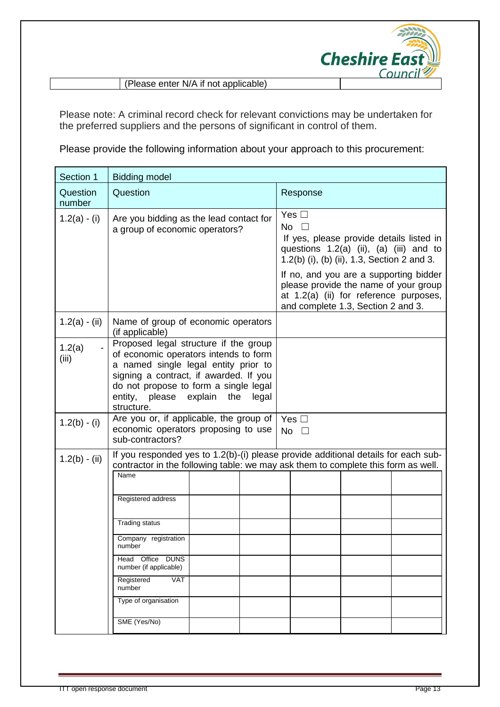

(Please enter N/A if not applicable)

Please note: A criminal record check for relevant convictions may be undertaken for the preferred suppliers and the persons of significant in control of them.

Please provide the following information about your approach to this procurement:

| Section 1          | <b>Bidding model</b>                                                                                                                                                                                                                                                                                                                                                                         |                                                                                                                                                                                                                                                                                                   |  |  |  |
|--------------------|----------------------------------------------------------------------------------------------------------------------------------------------------------------------------------------------------------------------------------------------------------------------------------------------------------------------------------------------------------------------------------------------|---------------------------------------------------------------------------------------------------------------------------------------------------------------------------------------------------------------------------------------------------------------------------------------------------|--|--|--|
| Question<br>number | Question                                                                                                                                                                                                                                                                                                                                                                                     | Response                                                                                                                                                                                                                                                                                          |  |  |  |
| $1.2(a) - (i)$     | Are you bidding as the lead contact for<br>a group of economic operators?                                                                                                                                                                                                                                                                                                                    | Yes $\Box$<br>No $\square$<br>If yes, please provide details listed in<br>questions $1.2(a)$ (ii), $(a)$ (iii) and to<br>1.2(b) (i), (b) (ii), 1.3, Section 2 and 3.<br>If no, and you are a supporting bidder<br>please provide the name of your group<br>at 1.2(a) (ii) for reference purposes, |  |  |  |
| $1.2(a) - (ii)$    | Name of group of economic operators<br>(if applicable)                                                                                                                                                                                                                                                                                                                                       | and complete 1.3, Section 2 and 3.                                                                                                                                                                                                                                                                |  |  |  |
| 1.2(a)<br>(iii)    | Proposed legal structure if the group<br>of economic operators intends to form<br>a named single legal entity prior to<br>signing a contract, if awarded. If you<br>do not propose to form a single legal<br>entity, please explain the<br>legal<br>structure.                                                                                                                               |                                                                                                                                                                                                                                                                                                   |  |  |  |
| $1.2(b) - (i)$     | Are you or, if applicable, the group of<br>economic operators proposing to use<br>sub-contractors?                                                                                                                                                                                                                                                                                           | Yes $\square$<br>No $\square$                                                                                                                                                                                                                                                                     |  |  |  |
| $1.2(b) - (ii)$    | If you responded yes to 1.2(b)-(i) please provide additional details for each sub-<br>contractor in the following table: we may ask them to complete this form as well.<br>Name<br>Registered address<br><b>Trading status</b><br>Company registration<br>number<br>Head Office DUNS<br>number (if applicable)<br>Registered<br><b>VAT</b><br>number<br>Type of organisation<br>SME (Yes/No) |                                                                                                                                                                                                                                                                                                   |  |  |  |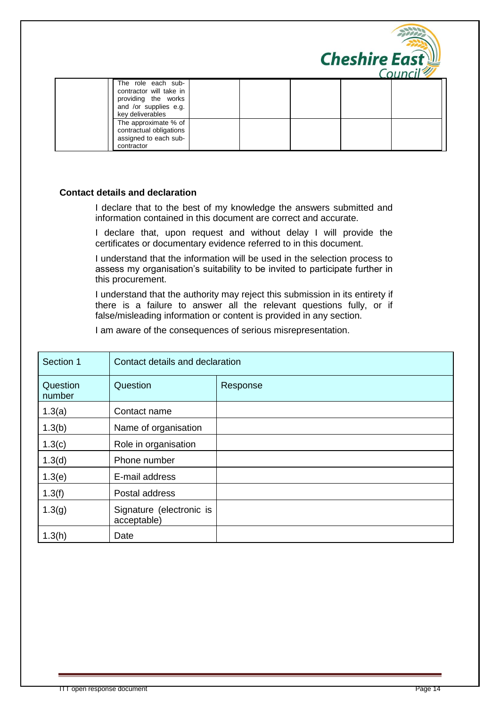

|                                                                                                                   |  |  | CUUILII 7 |
|-------------------------------------------------------------------------------------------------------------------|--|--|-----------|
| The role each sub-<br>contractor will take in<br>providing the works<br>and /or supplies e.g.<br>key deliverables |  |  |           |
| The approximate % of<br>contractual obligations<br>assigned to each sub-<br>contractor                            |  |  |           |

#### **Contact details and declaration**

I declare that to the best of my knowledge the answers submitted and information contained in this document are correct and accurate.

I declare that, upon request and without delay I will provide the certificates or documentary evidence referred to in this document.

I understand that the information will be used in the selection process to assess my organisation's suitability to be invited to participate further in this procurement.

I understand that the authority may reject this submission in its entirety if there is a failure to answer all the relevant questions fully, or if false/misleading information or content is provided in any section.

I am aware of the consequences of serious misrepresentation.

| Section 1          | Contact details and declaration         |          |
|--------------------|-----------------------------------------|----------|
| Question<br>number | Question                                | Response |
| 1.3(a)             | Contact name                            |          |
| 1.3(b)             | Name of organisation                    |          |
| 1.3(c)             | Role in organisation                    |          |
| 1.3(d)             | Phone number                            |          |
| 1.3(e)             | E-mail address                          |          |
| 1.3(f)             | Postal address                          |          |
| 1.3(g)             | Signature (electronic is<br>acceptable) |          |
| 1.3(h)             | Date                                    |          |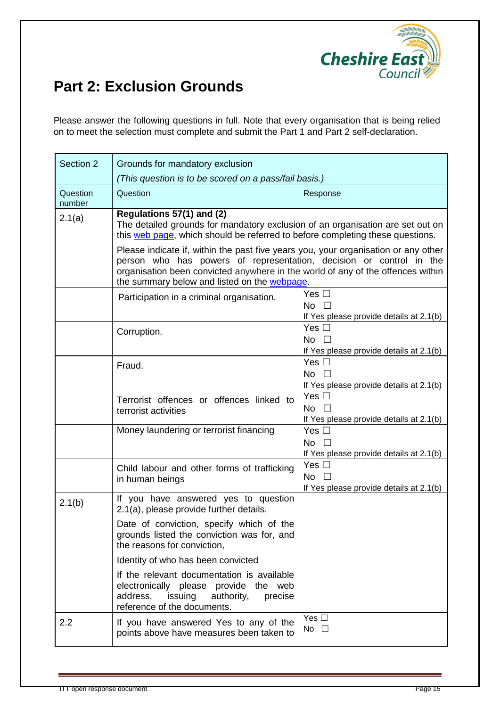

# **Part 2: Exclusion Grounds**

Please answer the following questions in full. Note that every organisation that is being relied on to meet the selection must complete and submit the Part 1 and Part 2 self-declaration.

| Section 2          | Grounds for mandatory exclusion                                                                                                                                                                                                                                                                                                                           |                                                                          |  |
|--------------------|-----------------------------------------------------------------------------------------------------------------------------------------------------------------------------------------------------------------------------------------------------------------------------------------------------------------------------------------------------------|--------------------------------------------------------------------------|--|
|                    | (This question is to be scored on a pass/fail basis.)                                                                                                                                                                                                                                                                                                     |                                                                          |  |
| Question<br>number | Question<br>Response                                                                                                                                                                                                                                                                                                                                      |                                                                          |  |
| 2.1(a)             | Regulations 57(1) and (2)<br>The detailed grounds for mandatory exclusion of an organisation are set out on<br>this web page, which should be referred to before completing these questions.<br>Please indicate if, within the past five years you, your organisation or any other<br>person who has powers of representation, decision or control in the |                                                                          |  |
|                    | organisation been convicted anywhere in the world of any of the offences within<br>the summary below and listed on the webpage.                                                                                                                                                                                                                           |                                                                          |  |
|                    | Participation in a criminal organisation.                                                                                                                                                                                                                                                                                                                 | Yes $\square$<br>No $\square$<br>If Yes please provide details at 2.1(b) |  |
|                    | Corruption.                                                                                                                                                                                                                                                                                                                                               | Yes $\square$<br>No $\square$<br>If Yes please provide details at 2.1(b) |  |
|                    | Fraud.                                                                                                                                                                                                                                                                                                                                                    | Yes $\square$<br>No [<br>If Yes please provide details at 2.1(b)         |  |
|                    | Terrorist offences or offences linked to<br>terrorist activities                                                                                                                                                                                                                                                                                          | Yes $\square$<br>No $\square$<br>If Yes please provide details at 2.1(b) |  |
|                    | Money laundering or terrorist financing                                                                                                                                                                                                                                                                                                                   | Yes $\square$<br>No $\square$<br>If Yes please provide details at 2.1(b) |  |
|                    | Child labour and other forms of trafficking<br>in human beings                                                                                                                                                                                                                                                                                            | Yes $\square$<br>No $\square$<br>If Yes please provide details at 2.1(b) |  |
| 2.1(b)             | If you have answered yes to question<br>2.1(a), please provide further details.                                                                                                                                                                                                                                                                           |                                                                          |  |
|                    | Date of conviction, specify which of the<br>grounds listed the conviction was for, and<br>the reasons for conviction,                                                                                                                                                                                                                                     |                                                                          |  |
|                    | Identity of who has been convicted                                                                                                                                                                                                                                                                                                                        |                                                                          |  |
|                    | If the relevant documentation is available<br>electronically please provide the web<br>address,<br>issuing authority,<br>precise<br>reference of the documents.                                                                                                                                                                                           |                                                                          |  |
| 2.2                | If you have answered Yes to any of the<br>points above have measures been taken to                                                                                                                                                                                                                                                                        | Yes $\Box$<br>No $\square$                                               |  |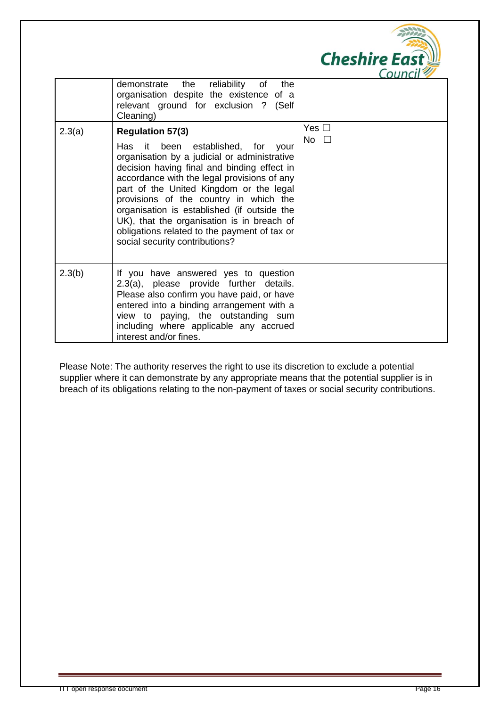|        |                                                                                                                                                                                                                                                                                                                                                                                                                                                                                   | <b>Cheshire East</b><br>Council |
|--------|-----------------------------------------------------------------------------------------------------------------------------------------------------------------------------------------------------------------------------------------------------------------------------------------------------------------------------------------------------------------------------------------------------------------------------------------------------------------------------------|---------------------------------|
|        | the reliability<br>demonstrate<br>of<br>the<br>organisation despite the existence of a<br>relevant ground for exclusion ? (Self<br>Cleaning)                                                                                                                                                                                                                                                                                                                                      |                                 |
| 2.3(a) | <b>Regulation 57(3)</b><br>Has it been established, for<br>vour<br>organisation by a judicial or administrative<br>decision having final and binding effect in<br>accordance with the legal provisions of any<br>part of the United Kingdom or the legal<br>provisions of the country in which the<br>organisation is established (if outside the<br>UK), that the organisation is in breach of<br>obligations related to the payment of tax or<br>social security contributions? | Yes $\square$<br>No $\square$   |
| 2.3(b) | If you have answered yes to question<br>2.3(a), please provide further details.<br>Please also confirm you have paid, or have<br>entered into a binding arrangement with a<br>view to paying, the outstanding sum<br>including where applicable any accrued<br>interest and/or fines.                                                                                                                                                                                             |                                 |

Please Note: The authority reserves the right to use its discretion to exclude a potential supplier where it can demonstrate by any appropriate means that the potential supplier is in breach of its obligations relating to the non-payment of taxes or social security contributions.

 $200$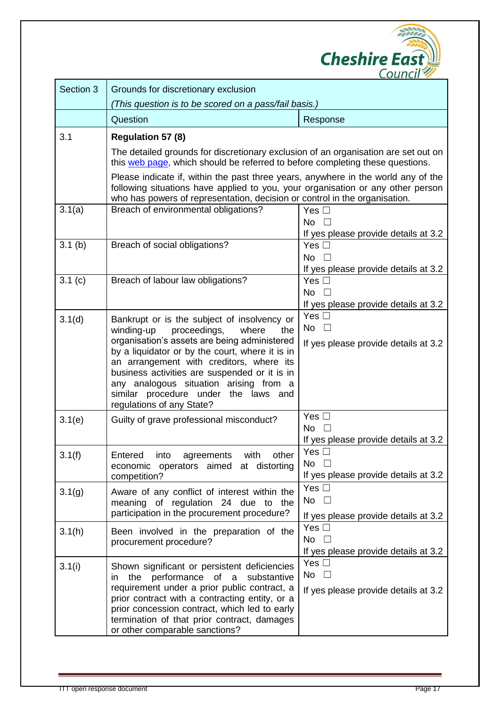

| Section 3 | Grounds for discretionary exclusion                                                                                                                                                                                                                |                                                       |  |
|-----------|----------------------------------------------------------------------------------------------------------------------------------------------------------------------------------------------------------------------------------------------------|-------------------------------------------------------|--|
|           | (This question is to be scored on a pass/fail basis.)                                                                                                                                                                                              |                                                       |  |
|           | Question                                                                                                                                                                                                                                           | Response                                              |  |
| 3.1       | <b>Regulation 57 (8)</b>                                                                                                                                                                                                                           |                                                       |  |
|           | The detailed grounds for discretionary exclusion of an organisation are set out on<br>this web page, which should be referred to before completing these questions.                                                                                |                                                       |  |
|           | Please indicate if, within the past three years, anywhere in the world any of the<br>following situations have applied to you, your organisation or any other person<br>who has powers of representation, decision or control in the organisation. |                                                       |  |
| 3.1(a)    | Breach of environmental obligations?                                                                                                                                                                                                               | Yes $\Box$                                            |  |
|           |                                                                                                                                                                                                                                                    | No $\square$                                          |  |
| 3.1(b)    | Breach of social obligations?                                                                                                                                                                                                                      | If yes please provide details at 3.2<br>Yes $\square$ |  |
|           |                                                                                                                                                                                                                                                    | No $\square$                                          |  |
|           |                                                                                                                                                                                                                                                    | If yes please provide details at 3.2                  |  |
| 3.1(c)    | Breach of labour law obligations?                                                                                                                                                                                                                  | Yes $\square$                                         |  |
|           |                                                                                                                                                                                                                                                    | No $\square$                                          |  |
|           |                                                                                                                                                                                                                                                    | If yes please provide details at 3.2                  |  |
| 3.1(d)    | Bankrupt or is the subject of insolvency or                                                                                                                                                                                                        | Yes $\square$                                         |  |
|           | proceedings,<br>winding-up<br>where<br>the                                                                                                                                                                                                         | No $\square$                                          |  |
|           | organisation's assets are being administered<br>by a liquidator or by the court, where it is in                                                                                                                                                    | If yes please provide details at 3.2                  |  |
|           | an arrangement with creditors, where its                                                                                                                                                                                                           |                                                       |  |
|           | business activities are suspended or it is in                                                                                                                                                                                                      |                                                       |  |
|           | any analogous situation arising from a                                                                                                                                                                                                             |                                                       |  |
|           | similar procedure under the laws and<br>regulations of any State?                                                                                                                                                                                  |                                                       |  |
| 3.1(e)    | Guilty of grave professional misconduct?                                                                                                                                                                                                           | Yes $\Box$                                            |  |
|           |                                                                                                                                                                                                                                                    | No                                                    |  |
|           |                                                                                                                                                                                                                                                    | If yes please provide details at 3.2                  |  |
| 3.1(f)    | Entered into agreements with other                                                                                                                                                                                                                 | Yes $\Box$                                            |  |
|           | economic operators aimed at distorting                                                                                                                                                                                                             | No $\square$                                          |  |
|           | competition?                                                                                                                                                                                                                                       | If yes please provide details at 3.2<br>Yes $\Box$    |  |
| 3.1(g)    | Aware of any conflict of interest within the                                                                                                                                                                                                       | No $\square$                                          |  |
|           | meaning of regulation 24 due to the<br>participation in the procurement procedure?                                                                                                                                                                 |                                                       |  |
|           |                                                                                                                                                                                                                                                    | If yes please provide details at 3.2<br>Yes $\square$ |  |
| 3.1(h)    | Been involved in the preparation of the                                                                                                                                                                                                            | No $\square$                                          |  |
|           | procurement procedure?                                                                                                                                                                                                                             | If yes please provide details at 3.2                  |  |
| 3.1(i)    | Shown significant or persistent deficiencies                                                                                                                                                                                                       | Yes $\square$                                         |  |
|           | in the performance of a substantive                                                                                                                                                                                                                | No $\square$                                          |  |
|           | requirement under a prior public contract, a                                                                                                                                                                                                       | If yes please provide details at 3.2                  |  |
|           | prior contract with a contracting entity, or a                                                                                                                                                                                                     |                                                       |  |
|           | prior concession contract, which led to early<br>termination of that prior contract, damages                                                                                                                                                       |                                                       |  |
|           | or other comparable sanctions?                                                                                                                                                                                                                     |                                                       |  |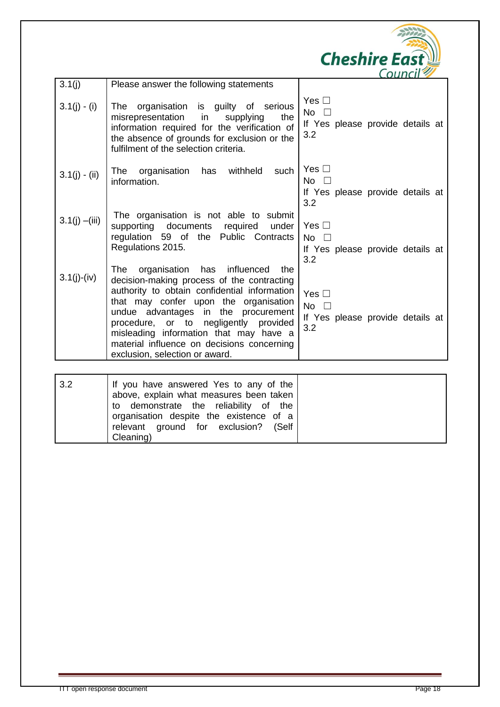|                  |                                                                                                                                                                                                                                                                                                                                                                                                               | <b>Cheshire East</b><br>Counc                                          |
|------------------|---------------------------------------------------------------------------------------------------------------------------------------------------------------------------------------------------------------------------------------------------------------------------------------------------------------------------------------------------------------------------------------------------------------|------------------------------------------------------------------------|
| 3.1(j)           | Please answer the following statements                                                                                                                                                                                                                                                                                                                                                                        |                                                                        |
| $3.1(j) - (i)$   | organisation is guilty of serious<br>The<br>misrepresentation<br>in<br>supplying<br>the<br>information required for the verification of<br>the absence of grounds for exclusion or the<br>fulfilment of the selection criteria.                                                                                                                                                                               | Yes $\Box$<br>No $\square$<br>If Yes please provide details at<br>3.2  |
| $3.1(j) - (ii)$  | The<br>organisation has<br>withheld<br>such<br>information.                                                                                                                                                                                                                                                                                                                                                   | Yes $\Box$<br>$No \ \ \Box$<br>If Yes please provide details at<br>3.2 |
| $3.1(j) - (iii)$ | The organisation is not able to submit<br>supporting documents<br>required<br>under<br>Public Contracts<br>regulation 59 of the<br>Regulations 2015.                                                                                                                                                                                                                                                          | Yes $\Box$<br>No $\square$<br>If Yes please provide details at<br>3.2  |
| $3.1(j)-(iv)$    | organisation<br>influenced<br><b>The</b><br>has<br>the<br>decision-making process of the contracting<br>authority to obtain confidential information<br>that may confer upon the organisation<br>the procurement<br>undue advantages in<br>procedure, or to negligently<br>provided<br>misleading information that may have a<br>material influence on decisions concerning<br>exclusion, selection or award. | Yes $\Box$<br>No $\square$<br>If Yes please provide details at<br>3.2  |
|                  |                                                                                                                                                                                                                                                                                                                                                                                                               |                                                                        |

| 3.2 | If you have answered Yes to any of the  |  |
|-----|-----------------------------------------|--|
|     | above, explain what measures been taken |  |
|     | to demonstrate the reliability of the   |  |
|     | organisation despite the existence of a |  |
|     | relevant ground for exclusion? (Self    |  |
|     | Cleaning)                               |  |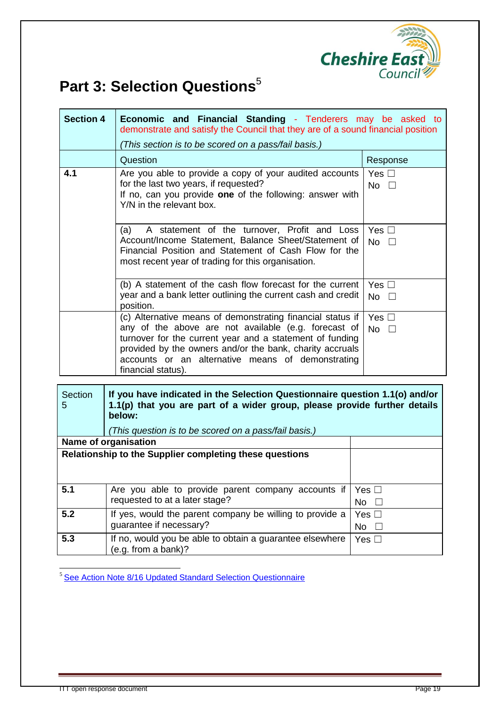

# **Part 3: Selection Questions**<sup>5</sup>

| <b>Section 4</b> | Economic and Financial Standing - Tenderers may be asked to<br>demonstrate and satisfy the Council that they are of a sound financial position<br>(This section is to be scored on a pass/fail basis.)                                                                                                                |                               |
|------------------|-----------------------------------------------------------------------------------------------------------------------------------------------------------------------------------------------------------------------------------------------------------------------------------------------------------------------|-------------------------------|
|                  | Question                                                                                                                                                                                                                                                                                                              | Response                      |
| 4.1              | Are you able to provide a copy of your audited accounts<br>for the last two years, if requested?<br>If no, can you provide one of the following: answer with<br>Y/N in the relevant box.                                                                                                                              | Yes $\square$<br>No $\square$ |
|                  | A statement of the turnover, Profit and Loss<br>(a)<br>Account/Income Statement, Balance Sheet/Statement of<br>Financial Position and Statement of Cash Flow for the<br>most recent year of trading for this organisation.                                                                                            | Yes $\square$<br>No $\square$ |
|                  | (b) A statement of the cash flow forecast for the current<br>year and a bank letter outlining the current cash and credit<br>position.                                                                                                                                                                                | Yes $\square$<br>No $\square$ |
|                  | (c) Alternative means of demonstrating financial status if<br>any of the above are not available (e.g. forecast of<br>turnover for the current year and a statement of funding<br>provided by the owners and/or the bank, charity accruals<br>accounts or an alternative means of demonstrating<br>financial status). | Yes $\square$<br>No $\square$ |

| Section<br>5 | If you have indicated in the Selection Questionnaire question 1.1(o) and/or<br>1.1(p) that you are part of a wider group, please provide further details<br>below:<br>(This question is to be scored on a pass/fail basis.) |               |
|--------------|-----------------------------------------------------------------------------------------------------------------------------------------------------------------------------------------------------------------------------|---------------|
|              | Name of organisation                                                                                                                                                                                                        |               |
|              | Relationship to the Supplier completing these questions                                                                                                                                                                     |               |
|              |                                                                                                                                                                                                                             |               |
| 5.1          | Are you able to provide parent company accounts if                                                                                                                                                                          | Yes $\Box$    |
|              | requested to at a later stage?                                                                                                                                                                                              | No.<br>$\Box$ |
| 5.2          | If yes, would the parent company be willing to provide a                                                                                                                                                                    | Yes $\Box$    |
|              | quarantee if necessary?                                                                                                                                                                                                     | No            |
| 5.3          | If no, would you be able to obtain a guarantee elsewhere<br>(e.g. from a bank)?                                                                                                                                             | Yes $\Box$    |

 $\overline{a}$ <sup>5</sup> See Action Note 8/16 Updated [Standard Selection Questionnaire](https://www.gov.uk/government/collections/procurement-policy-notes)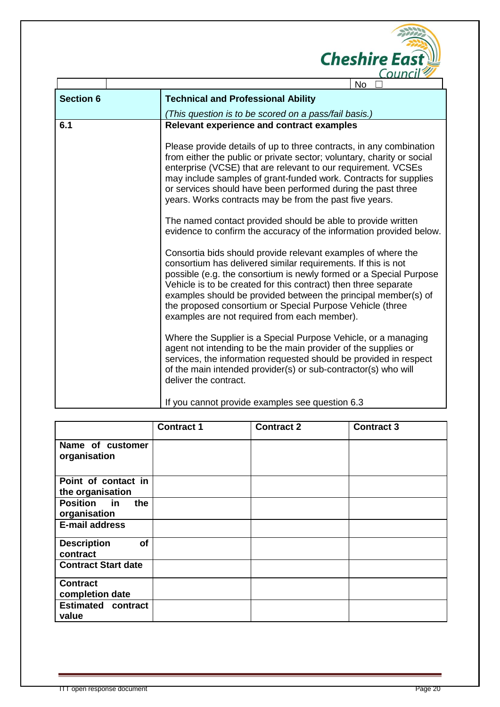

|                  | No.                                                                                                                                                                                                                                                                                                                                                                                                                                                   |
|------------------|-------------------------------------------------------------------------------------------------------------------------------------------------------------------------------------------------------------------------------------------------------------------------------------------------------------------------------------------------------------------------------------------------------------------------------------------------------|
| <b>Section 6</b> | <b>Technical and Professional Ability</b>                                                                                                                                                                                                                                                                                                                                                                                                             |
|                  | (This question is to be scored on a pass/fail basis.)                                                                                                                                                                                                                                                                                                                                                                                                 |
| 6.1              | <b>Relevant experience and contract examples</b>                                                                                                                                                                                                                                                                                                                                                                                                      |
|                  | Please provide details of up to three contracts, in any combination<br>from either the public or private sector; voluntary, charity or social<br>enterprise (VCSE) that are relevant to our requirement. VCSEs<br>may include samples of grant-funded work. Contracts for supplies<br>or services should have been performed during the past three<br>years. Works contracts may be from the past five years.                                         |
|                  | The named contact provided should be able to provide written<br>evidence to confirm the accuracy of the information provided below.                                                                                                                                                                                                                                                                                                                   |
|                  | Consortia bids should provide relevant examples of where the<br>consortium has delivered similar requirements. If this is not<br>possible (e.g. the consortium is newly formed or a Special Purpose<br>Vehicle is to be created for this contract) then three separate<br>examples should be provided between the principal member(s) of<br>the proposed consortium or Special Purpose Vehicle (three<br>examples are not required from each member). |
|                  | Where the Supplier is a Special Purpose Vehicle, or a managing<br>agent not intending to be the main provider of the supplies or<br>services, the information requested should be provided in respect<br>of the main intended provider(s) or sub-contractor(s) who will<br>deliver the contract.                                                                                                                                                      |
|                  | If you cannot provide examples see question 6.3                                                                                                                                                                                                                                                                                                                                                                                                       |

|                                           | <b>Contract 1</b> | <b>Contract 2</b> | <b>Contract 3</b> |
|-------------------------------------------|-------------------|-------------------|-------------------|
| Name of customer<br>organisation          |                   |                   |                   |
| Point of contact in<br>the organisation   |                   |                   |                   |
| <b>Position</b> in<br>the<br>organisation |                   |                   |                   |
| <b>E-mail address</b>                     |                   |                   |                   |
| of<br><b>Description</b><br>contract      |                   |                   |                   |
| <b>Contract Start date</b>                |                   |                   |                   |
| <b>Contract</b><br>completion date        |                   |                   |                   |
| <b>Estimated contract</b><br>value        |                   |                   |                   |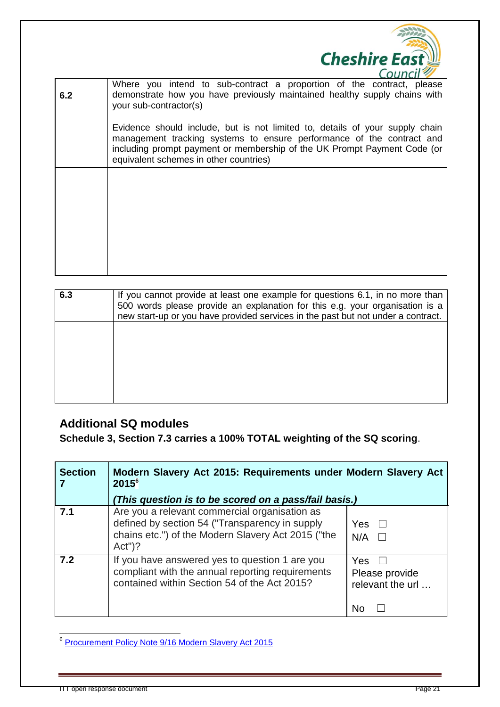

|     | CUCTILITY T                                                                                                                                                                                                                                                                 |
|-----|-----------------------------------------------------------------------------------------------------------------------------------------------------------------------------------------------------------------------------------------------------------------------------|
| 6.2 | Where you intend to sub-contract a proportion of the contract, please<br>demonstrate how you have previously maintained healthy supply chains with<br>your sub-contractor(s)                                                                                                |
|     | Evidence should include, but is not limited to, details of your supply chain<br>management tracking systems to ensure performance of the contract and<br>including prompt payment or membership of the UK Prompt Payment Code (or<br>equivalent schemes in other countries) |
|     |                                                                                                                                                                                                                                                                             |
|     |                                                                                                                                                                                                                                                                             |
|     |                                                                                                                                                                                                                                                                             |

| 6.3 | If you cannot provide at least one example for questions 6.1, in no more than<br>500 words please provide an explanation for this e.g. your organisation is a<br>new start-up or you have provided services in the past but not under a contract. |
|-----|---------------------------------------------------------------------------------------------------------------------------------------------------------------------------------------------------------------------------------------------------|
|     |                                                                                                                                                                                                                                                   |
|     |                                                                                                                                                                                                                                                   |

## **Additional SQ modules**

**Schedule 3, Section 7.3 carries a 100% TOTAL weighting of the SQ scoring**.

| <b>Section</b> | Modern Slavery Act 2015: Requirements under Modern Slavery Act<br>2015 <sup>6</sup><br>(This question is to be scored on a pass/fail basis.)                       |                                                 |  |
|----------------|--------------------------------------------------------------------------------------------------------------------------------------------------------------------|-------------------------------------------------|--|
| 7.1            | Are you a relevant commercial organisation as<br>defined by section 54 ("Transparency in supply<br>chains etc.") of the Modern Slavery Act 2015 ("the<br>$Act")$ ? | Yes<br>$\perp$<br>N/A                           |  |
| 7.2            | If you have answered yes to question 1 are you<br>compliant with the annual reporting requirements<br>contained within Section 54 of the Act 2015?                 | Yes<br>Please provide<br>relevant the url<br>No |  |

enders<br><sup>6</sup> [Procurement Policy Note 9/16 Modern Slavery Act 2015](https://www.gov.uk/government/collections/procurement-policy-notes)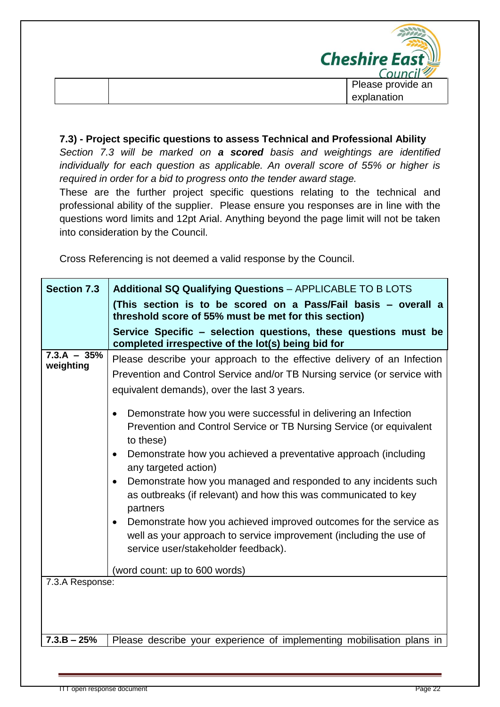

#### **7.3) - Project specific questions to assess Technical and Professional Ability**

*Section 7.3 will be marked on a scored basis and weightings are identified individually for each question as applicable. An overall score of 55% or higher is required in order for a bid to progress onto the tender award stage.*

These are the further project specific questions relating to the technical and professional ability of the supplier. Please ensure you responses are in line with the questions word limits and 12pt Arial. Anything beyond the page limit will not be taken into consideration by the Council.

Cross Referencing is not deemed a valid response by the Council.

| <b>Section 7.3</b>         | <b>Additional SQ Qualifying Questions - APPLICABLE TO B LOTS</b>                                                                                                                                                                                                                                                                                                                                                                                                                                                                                                                                                                                                                                                                                                                                                                                                              |  |  |  |  |
|----------------------------|-------------------------------------------------------------------------------------------------------------------------------------------------------------------------------------------------------------------------------------------------------------------------------------------------------------------------------------------------------------------------------------------------------------------------------------------------------------------------------------------------------------------------------------------------------------------------------------------------------------------------------------------------------------------------------------------------------------------------------------------------------------------------------------------------------------------------------------------------------------------------------|--|--|--|--|
|                            | (This section is to be scored on a Pass/Fail basis - overall a<br>threshold score of 55% must be met for this section)                                                                                                                                                                                                                                                                                                                                                                                                                                                                                                                                                                                                                                                                                                                                                        |  |  |  |  |
|                            | Service Specific - selection questions, these questions must be<br>completed irrespective of the lot(s) being bid for                                                                                                                                                                                                                                                                                                                                                                                                                                                                                                                                                                                                                                                                                                                                                         |  |  |  |  |
| $7.3.A - 35%$<br>weighting | Please describe your approach to the effective delivery of an Infection<br>Prevention and Control Service and/or TB Nursing service (or service with<br>equivalent demands), over the last 3 years.<br>Demonstrate how you were successful in delivering an Infection<br>$\bullet$<br>Prevention and Control Service or TB Nursing Service (or equivalent<br>to these)<br>Demonstrate how you achieved a preventative approach (including<br>$\bullet$<br>any targeted action)<br>Demonstrate how you managed and responded to any incidents such<br>$\bullet$<br>as outbreaks (if relevant) and how this was communicated to key<br>partners<br>Demonstrate how you achieved improved outcomes for the service as<br>$\bullet$<br>well as your approach to service improvement (including the use of<br>service user/stakeholder feedback).<br>(word count: up to 600 words) |  |  |  |  |
| 7.3.A Response:            |                                                                                                                                                                                                                                                                                                                                                                                                                                                                                                                                                                                                                                                                                                                                                                                                                                                                               |  |  |  |  |
| $7.3.B - 25%$              | Please describe your experience of implementing mobilisation plans in                                                                                                                                                                                                                                                                                                                                                                                                                                                                                                                                                                                                                                                                                                                                                                                                         |  |  |  |  |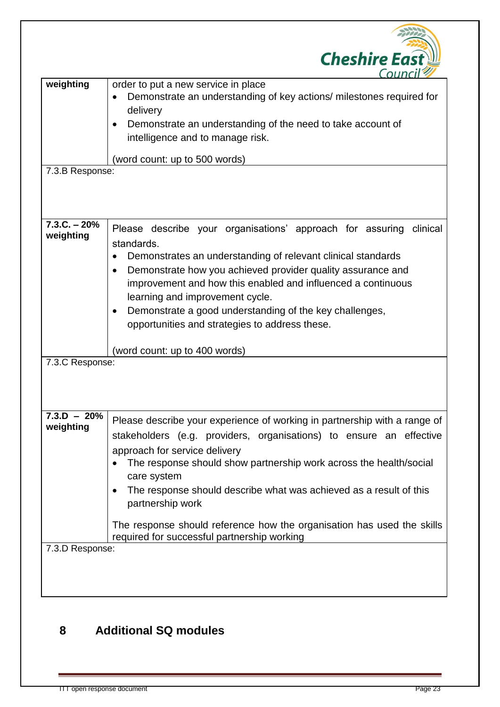|                              | <b>Cheshire East</b><br>Cour                                                                                                                                                                                                                                                                                                                                                                                                                                                              |
|------------------------------|-------------------------------------------------------------------------------------------------------------------------------------------------------------------------------------------------------------------------------------------------------------------------------------------------------------------------------------------------------------------------------------------------------------------------------------------------------------------------------------------|
| weighting<br>7.3.B Response: | order to put a new service in place<br>Demonstrate an understanding of key actions/ milestones required for<br>delivery<br>Demonstrate an understanding of the need to take account of<br>$\bullet$<br>intelligence and to manage risk.<br>(word count: up to 500 words)                                                                                                                                                                                                                  |
| $7.3.C. - 20%$               |                                                                                                                                                                                                                                                                                                                                                                                                                                                                                           |
| weighting                    | Please describe your organisations' approach for assuring<br>clinical<br>standards.<br>Demonstrates an understanding of relevant clinical standards<br>Demonstrate how you achieved provider quality assurance and<br>improvement and how this enabled and influenced a continuous<br>learning and improvement cycle.<br>Demonstrate a good understanding of the key challenges,<br>$\bullet$<br>opportunities and strategies to address these.                                           |
| 7.3.C Response:              | (word count: up to 400 words)                                                                                                                                                                                                                                                                                                                                                                                                                                                             |
| $7.3.D - 20%$<br>weighting   | Please describe your experience of working in partnership with a range of<br>stakeholders (e.g. providers, organisations) to ensure an effective<br>approach for service delivery<br>The response should show partnership work across the health/social<br>care system<br>The response should describe what was achieved as a result of this<br>partnership work<br>The response should reference how the organisation has used the skills<br>required for successful partnership working |
| 7.3.D Response:              |                                                                                                                                                                                                                                                                                                                                                                                                                                                                                           |

## **8 Additional SQ modules**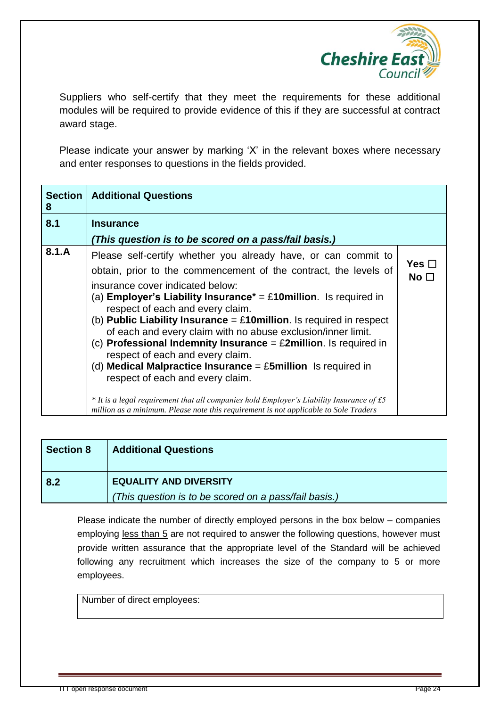

Suppliers who self-certify that they meet the requirements for these additional modules will be required to provide evidence of this if they are successful at contract award stage.

Please indicate your answer by marking 'X' in the relevant boxes where necessary and enter responses to questions in the fields provided.

| <b>Section</b><br>8 | <b>Additional Questions</b>                                                                                                                                                                                                                                                                                                                                                                                                                                                                                                                                                                                                                                                                                                                                                                                                                                 |                               |
|---------------------|-------------------------------------------------------------------------------------------------------------------------------------------------------------------------------------------------------------------------------------------------------------------------------------------------------------------------------------------------------------------------------------------------------------------------------------------------------------------------------------------------------------------------------------------------------------------------------------------------------------------------------------------------------------------------------------------------------------------------------------------------------------------------------------------------------------------------------------------------------------|-------------------------------|
| 8.1                 | <b>Insurance</b>                                                                                                                                                                                                                                                                                                                                                                                                                                                                                                                                                                                                                                                                                                                                                                                                                                            |                               |
|                     | (This question is to be scored on a pass/fail basis.)                                                                                                                                                                                                                                                                                                                                                                                                                                                                                                                                                                                                                                                                                                                                                                                                       |                               |
| 8.1.A               | Please self-certify whether you already have, or can commit to<br>obtain, prior to the commencement of the contract, the levels of<br>insurance cover indicated below:<br>(a) Employer's Liability Insurance* = £10 million. Is required in<br>respect of each and every claim.<br>(b) Public Liability Insurance = $£10$ million. Is required in respect<br>of each and every claim with no abuse exclusion/inner limit.<br>(c) Professional Indemnity Insurance = $\pounds 2$ million. Is required in<br>respect of each and every claim.<br>(d) Medical Malpractice Insurance = $£5$ million Is required in<br>respect of each and every claim.<br>* It is a legal requirement that all companies hold Employer's Liability Insurance of $\text{\textsterling}5$<br>million as a minimum. Please note this requirement is not applicable to Sole Traders | Yes $\square$<br>No $\square$ |

| <b>Section 8</b> | <b>Additional Questions</b>                                                            |
|------------------|----------------------------------------------------------------------------------------|
| 8.2              | <b>EQUALITY AND DIVERSITY</b><br>(This question is to be scored on a pass/fail basis.) |

Please indicate the number of directly employed persons in the box below – companies employing less than 5 are not required to answer the following questions, however must provide written assurance that the appropriate level of the Standard will be achieved following any recruitment which increases the size of the company to 5 or more employees.

Number of direct employees: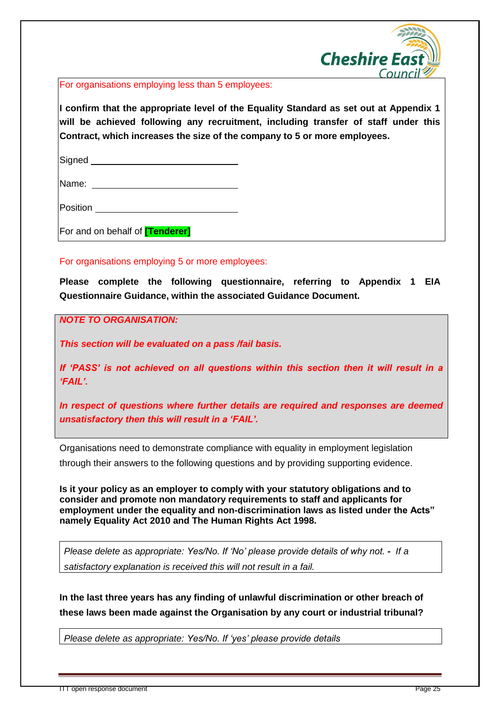

For organisations employing less than 5 employees:

**I confirm that the appropriate level of the Equality Standard as set out at Appendix 1 will be achieved following any recruitment, including transfer of staff under this Contract, which increases the size of the company to 5 or more employees.** 

Signed **Signed Signed** 

Name: when the contract of the contract of the contract of the contract of the contract of the contract of the contract of the contract of the contract of the contract of the contract of the contract of the contract of the

**Position Provides** 

For and on behalf of **[Tenderer]**

For organisations employing 5 or more employees:

**Please complete the following questionnaire, referring to Appendix 1 EIA Questionnaire Guidance, within the associated Guidance Document.**

*NOTE TO ORGANISATION:*

*This section will be evaluated on a pass /fail basis.*

*If 'PASS' is not achieved on all questions within this section then it will result in a 'FAIL'.*

*In respect of questions where further details are required and responses are deemed unsatisfactory then this will result in a 'FAIL'.*

Organisations need to demonstrate compliance with equality in employment legislation

through their answers to the following questions and by providing supporting evidence.

**Is it your policy as an employer to comply with your statutory obligations and to consider and promote non mandatory requirements to staff and applicants for employment under the equality and non-discrimination laws as listed under the Acts" namely Equality Act 2010 and The Human Rights Act 1998.** 

*Please delete as appropriate: Yes/No. If 'No' please provide details of why not. - If a satisfactory explanation is received this will not result in a fail.*

**In the last three years has any finding of unlawful discrimination or other breach of these laws been made against the Organisation by any court or industrial tribunal?** 

*Please delete as appropriate: Yes/No. If 'yes' please provide details* 

ITT open response document Page 25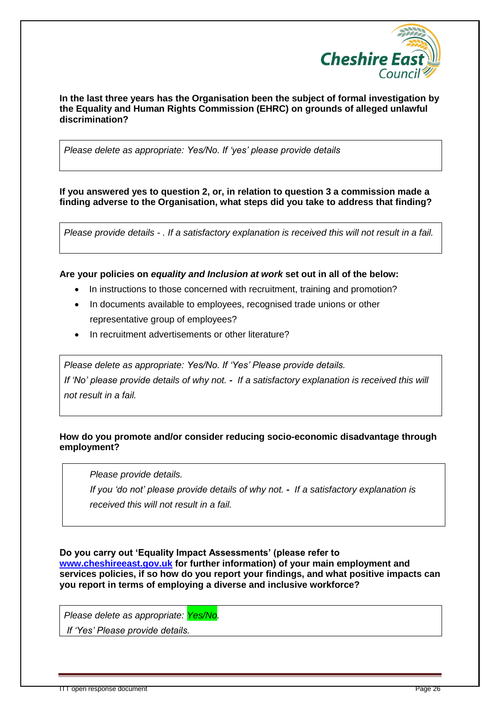

#### **In the last three years has the Organisation been the subject of formal investigation by the Equality and Human Rights Commission (EHRC) on grounds of alleged unlawful discrimination?**

*Please delete as appropriate: Yes/No. If 'yes' please provide details* 

**If you answered yes to question 2, or, in relation to question 3 a commission made a finding adverse to the Organisation, what steps did you take to address that finding?**

*Please provide details - . If a satisfactory explanation is received this will not result in a fail.*

#### **Are your policies on** *equality and Inclusion at work* **set out in all of the below:**

- In instructions to those concerned with recruitment, training and promotion?
- In documents available to employees, recognised trade unions or other representative group of employees?
- In recruitment advertisements or other literature?

*Please delete as appropriate: Yes/No. If 'Yes' Please provide details. If 'No' please provide details of why not. - If a satisfactory explanation is received this will not result in a fail.*

#### **How do you promote and/or consider reducing socio-economic disadvantage through employment?**

*Please provide details.*

**5.** 

*If you 'do not' please provide details of why not. - If a satisfactory explanation is received this will not result in a fail.*

**Do you carry out 'Equality Impact Assessments' (please refer to** 

**[www.cheshireeast.gov.uk](http://www.cheshireeast.gov.uk/) for further information) of your main employment and services policies, if so how do you report your findings, and what positive impacts can you report in terms of employing a diverse and inclusive workforce?** 

*Please delete as appropriate: Yes/No.*

*If 'Yes' Please provide details.*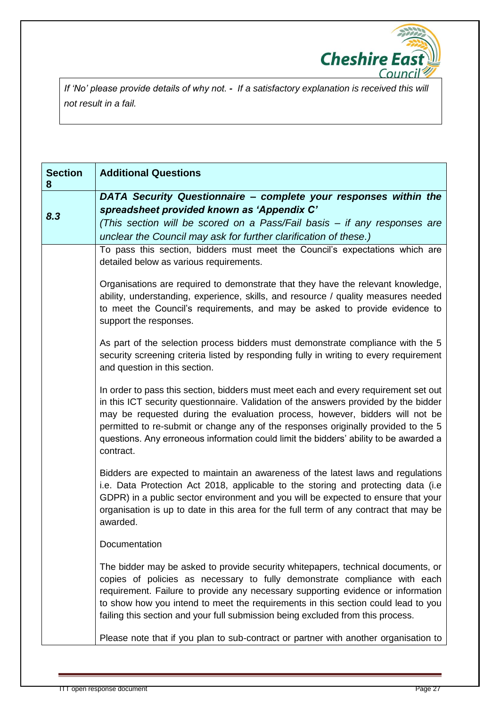

*If 'No' please provide details of why not. - If a satisfactory explanation is received this will not result in a fail.*

| <b>Section</b><br>8 | <b>Additional Questions</b>                                                                                                                                                                                                                                                                                                                                                                                                                             |
|---------------------|---------------------------------------------------------------------------------------------------------------------------------------------------------------------------------------------------------------------------------------------------------------------------------------------------------------------------------------------------------------------------------------------------------------------------------------------------------|
| 8.3                 | DATA Security Questionnaire - complete your responses within the<br>spreadsheet provided known as 'Appendix C'<br>(This section will be scored on a Pass/Fail basis – if any responses are<br>unclear the Council may ask for further clarification of these.)                                                                                                                                                                                          |
|                     | To pass this section, bidders must meet the Council's expectations which are<br>detailed below as various requirements.                                                                                                                                                                                                                                                                                                                                 |
|                     | Organisations are required to demonstrate that they have the relevant knowledge,<br>ability, understanding, experience, skills, and resource / quality measures needed<br>to meet the Council's requirements, and may be asked to provide evidence to<br>support the responses.                                                                                                                                                                         |
|                     | As part of the selection process bidders must demonstrate compliance with the 5<br>security screening criteria listed by responding fully in writing to every requirement<br>and question in this section.                                                                                                                                                                                                                                              |
|                     | In order to pass this section, bidders must meet each and every requirement set out<br>in this ICT security questionnaire. Validation of the answers provided by the bidder<br>may be requested during the evaluation process, however, bidders will not be<br>permitted to re-submit or change any of the responses originally provided to the 5<br>questions. Any erroneous information could limit the bidders' ability to be awarded a<br>contract. |
|                     | Bidders are expected to maintain an awareness of the latest laws and regulations<br>i.e. Data Protection Act 2018, applicable to the storing and protecting data (i.e.<br>GDPR) in a public sector environment and you will be expected to ensure that your<br>organisation is up to date in this area for the full term of any contract that may be<br>awarded.                                                                                        |
|                     | Documentation                                                                                                                                                                                                                                                                                                                                                                                                                                           |
|                     | The bidder may be asked to provide security whitepapers, technical documents, or<br>copies of policies as necessary to fully demonstrate compliance with each<br>requirement. Failure to provide any necessary supporting evidence or information<br>to show how you intend to meet the requirements in this section could lead to you<br>failing this section and your full submission being excluded from this process.                               |
|                     | Please note that if you plan to sub-contract or partner with another organisation to                                                                                                                                                                                                                                                                                                                                                                    |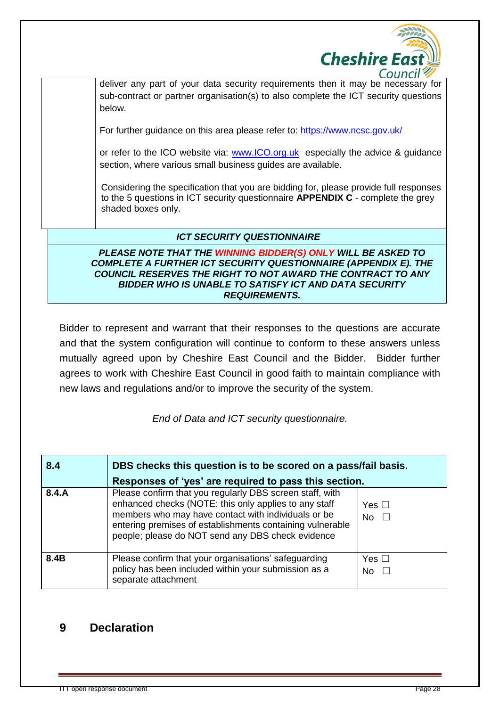

deliver any part of your data security requirements then it may be necessary for sub-contract or partner organisation(s) to also complete the ICT security questions below.

For further guidance on this area please refer to:<https://www.ncsc.gov.uk/>

or refer to the ICO website via: [www.ICO.org.uk](http://www.ico.org.uk/) especially the advice & guidance section, where various small business guides are available.

Considering the specification that you are bidding for, please provide full responses to the 5 questions in ICT security questionnaire **APPENDIX C** - complete the grey shaded boxes only.

#### *ICT SECURITY QUESTIONNAIRE*

*PLEASE NOTE THAT THE WINNING BIDDER(S) ONLY WILL BE ASKED TO COMPLETE A FURTHER ICT SECURITY QUESTIONNAIRE (APPENDIX E). THE COUNCIL RESERVES THE RIGHT TO NOT AWARD THE CONTRACT TO ANY BIDDER WHO IS UNABLE TO SATISFY ICT AND DATA SECURITY REQUIREMENTS.*

Bidder to represent and warrant that their responses to the questions are accurate and that the system configuration will continue to conform to these answers unless mutually agreed upon by Cheshire East Council and the Bidder. Bidder further agrees to work with Cheshire East Council in good faith to maintain compliance with new laws and regulations and/or to improve the security of the system.

*End of Data and ICT security questionnaire.*

| 8.4   | DBS checks this question is to be scored on a pass/fail basis.<br>Responses of 'yes' are required to pass this section.                                                                                                                                                                    |                            |  |
|-------|--------------------------------------------------------------------------------------------------------------------------------------------------------------------------------------------------------------------------------------------------------------------------------------------|----------------------------|--|
| 8.4.A | Please confirm that you regularly DBS screen staff, with<br>enhanced checks (NOTE: this only applies to any staff<br>members who may have contact with individuals or be<br>entering premises of establishments containing vulnerable<br>people; please do NOT send any DBS check evidence | Yes $\Box$<br><b>No</b>    |  |
| 8.4B  | Please confirm that your organisations' safeguarding<br>policy has been included within your submission as a<br>separate attachment                                                                                                                                                        | Yes $\Box$<br>No $\square$ |  |

## **9 Declaration**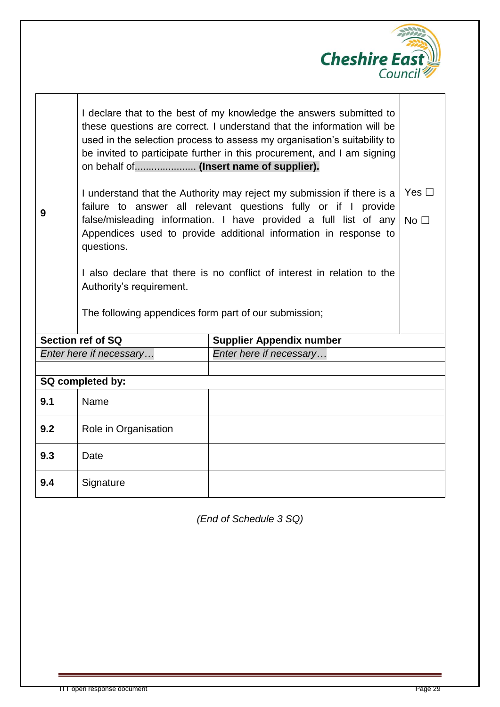

| I declare that to the best of my knowledge the answers submitted to      |  |  |  |
|--------------------------------------------------------------------------|--|--|--|
| these questions are correct. I understand that the information will be   |  |  |  |
| used in the selection process to assess my organisation's suitability to |  |  |  |
| be invited to participate further in this procurement, and I am signing  |  |  |  |
|                                                                          |  |  |  |

**9**

I understand that the Authority may reject my submission if there is a failure to answer all relevant questions fully or if I provide false/misleading information. I have provided a full list of any $\,$  No  $\Box$ Appendices used to provide additional information in response to questions. Yes □

I also declare that there is no conflict of interest in relation to the Authority's requirement.

The following appendices form part of our submission;

| Section ref of SQ       | <b>Supplier Appendix number</b> |
|-------------------------|---------------------------------|
| Enter here if necessary | Enter here if necessary         |
|                         |                                 |

| SQ completed by: |                      |  |
|------------------|----------------------|--|
| 9.1              | Name                 |  |
| 9.2              | Role in Organisation |  |
| 9.3              | Date                 |  |
| 9.4              | Signature            |  |

*(End of Schedule 3 SQ)*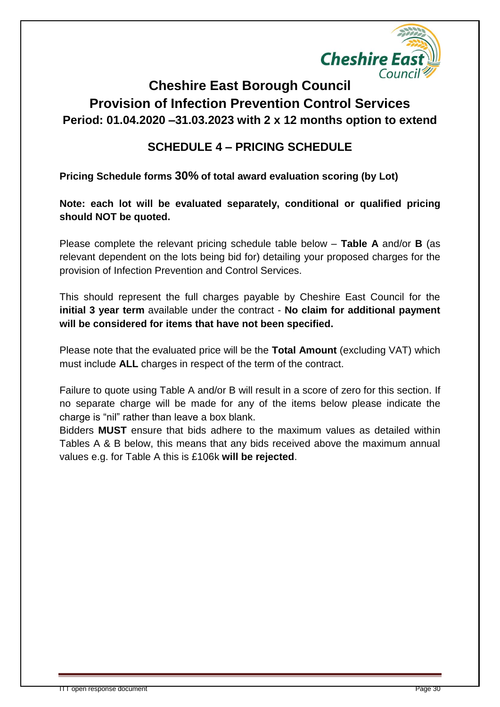

# **Cheshire East Borough Council Provision of Infection Prevention Control Services Period: 01.04.2020 –31.03.2023 with 2 x 12 months option to extend**

## **SCHEDULE 4 – PRICING SCHEDULE**

**Pricing Schedule forms 30% of total award evaluation scoring (by Lot)**

**Note: each lot will be evaluated separately, conditional or qualified pricing should NOT be quoted.**

Please complete the relevant pricing schedule table below – **Table A** and/or **B** (as relevant dependent on the lots being bid for) detailing your proposed charges for the provision of Infection Prevention and Control Services.

This should represent the full charges payable by Cheshire East Council for the **initial 3 year term** available under the contract - **No claim for additional payment will be considered for items that have not been specified.**

Please note that the evaluated price will be the **Total Amount** (excluding VAT) which must include **ALL** charges in respect of the term of the contract.

Failure to quote using Table A and/or B will result in a score of zero for this section. If no separate charge will be made for any of the items below please indicate the charge is "nil" rather than leave a box blank.

Bidders **MUST** ensure that bids adhere to the maximum values as detailed within Tables A & B below, this means that any bids received above the maximum annual values e.g. for Table A this is £106k **will be rejected**.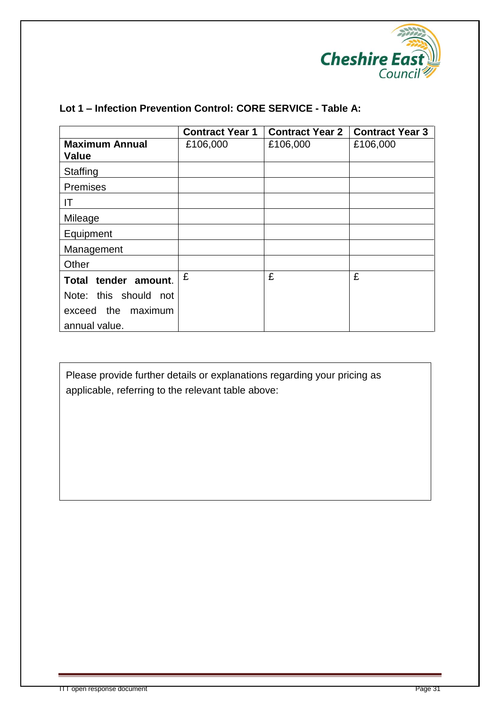

| Lot 1 – Infection Prevention Control: CORE SERVICE - Table A: |
|---------------------------------------------------------------|
|                                                               |

|                                       | <b>Contract Year 1</b> | <b>Contract Year 2</b> | <b>Contract Year 3</b> |
|---------------------------------------|------------------------|------------------------|------------------------|
| <b>Maximum Annual</b><br><b>Value</b> | £106,000               | £106,000               | £106,000               |
| Staffing                              |                        |                        |                        |
| <b>Premises</b>                       |                        |                        |                        |
| ΙT                                    |                        |                        |                        |
| Mileage                               |                        |                        |                        |
| Equipment                             |                        |                        |                        |
| Management                            |                        |                        |                        |
| Other                                 |                        |                        |                        |
| Total tender amount.                  | £                      | £                      | £                      |
| Note: this should not                 |                        |                        |                        |
| exceed the maximum                    |                        |                        |                        |
| annual value.                         |                        |                        |                        |

Please provide further details or explanations regarding your pricing as applicable, referring to the relevant table above: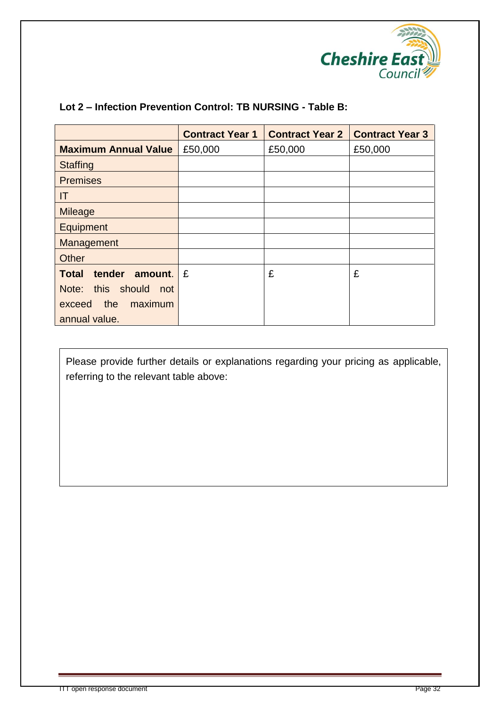

|                                   | <b>Contract Year 1</b> | <b>Contract Year 2</b> | <b>Contract Year 3</b> |
|-----------------------------------|------------------------|------------------------|------------------------|
| <b>Maximum Annual Value</b>       | £50,000                | £50,000                | £50,000                |
| <b>Staffing</b>                   |                        |                        |                        |
| <b>Premises</b>                   |                        |                        |                        |
| IT                                |                        |                        |                        |
| <b>Mileage</b>                    |                        |                        |                        |
| Equipment                         |                        |                        |                        |
| Management                        |                        |                        |                        |
| <b>Other</b>                      |                        |                        |                        |
| tender<br><b>Total</b><br>amount. | £                      | £                      | £                      |
| Note: this should<br>not          |                        |                        |                        |
| the<br>maximum<br>exceed          |                        |                        |                        |
| annual value.                     |                        |                        |                        |

## **Lot 2 – Infection Prevention Control: TB NURSING - Table B:**

Please provide further details or explanations regarding your pricing as applicable, referring to the relevant table above: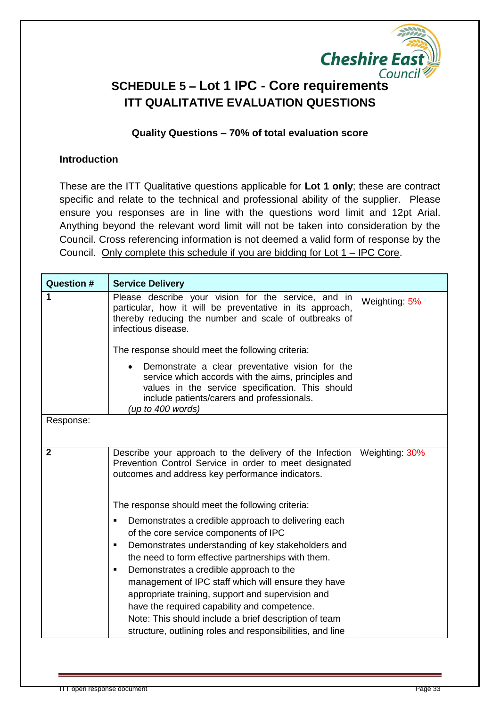

## **SCHEDULE 5 – Lot 1 IPC - Core requirements ITT QUALITATIVE EVALUATION QUESTIONS**

#### **Quality Questions – 70% of total evaluation score**

#### **Introduction**

These are the ITT Qualitative questions applicable for **Lot 1 only**; these are contract specific and relate to the technical and professional ability of the supplier. Please ensure you responses are in line with the questions word limit and 12pt Arial. Anything beyond the relevant word limit will not be taken into consideration by the Council. Cross referencing information is not deemed a valid form of response by the Council. Only complete this schedule if you are bidding for Lot 1 – IPC Core.

| <b>Question #</b> | <b>Service Delivery</b>                                                                                                                                                                                                                                                                                                                                                                                                                                                                                                                                 |                |
|-------------------|---------------------------------------------------------------------------------------------------------------------------------------------------------------------------------------------------------------------------------------------------------------------------------------------------------------------------------------------------------------------------------------------------------------------------------------------------------------------------------------------------------------------------------------------------------|----------------|
| 1                 | Please describe your vision for the service, and in<br>particular, how it will be preventative in its approach,<br>thereby reducing the number and scale of outbreaks of<br>infectious disease.                                                                                                                                                                                                                                                                                                                                                         | Weighting: 5%  |
|                   | The response should meet the following criteria:                                                                                                                                                                                                                                                                                                                                                                                                                                                                                                        |                |
|                   | Demonstrate a clear preventative vision for the<br>service which accords with the aims, principles and<br>values in the service specification. This should<br>include patients/carers and professionals.<br>(up to 400 words)                                                                                                                                                                                                                                                                                                                           |                |
| Response:         |                                                                                                                                                                                                                                                                                                                                                                                                                                                                                                                                                         |                |
| $\overline{2}$    | Describe your approach to the delivery of the Infection<br>Prevention Control Service in order to meet designated<br>outcomes and address key performance indicators.                                                                                                                                                                                                                                                                                                                                                                                   | Weighting: 30% |
|                   | The response should meet the following criteria:                                                                                                                                                                                                                                                                                                                                                                                                                                                                                                        |                |
|                   | Demonstrates a credible approach to delivering each<br>of the core service components of IPC<br>Demonstrates understanding of key stakeholders and<br>the need to form effective partnerships with them.<br>Demonstrates a credible approach to the<br>$\blacksquare$<br>management of IPC staff which will ensure they have<br>appropriate training, support and supervision and<br>have the required capability and competence.<br>Note: This should include a brief description of team<br>structure, outlining roles and responsibilities, and line |                |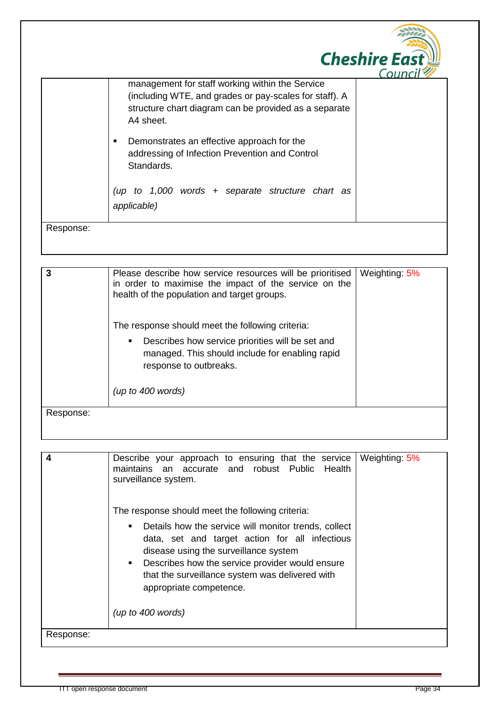|           |                                                                                                                                                                                                                                                                                                                                                                          | <b>Cheshire East</b><br>Cour |
|-----------|--------------------------------------------------------------------------------------------------------------------------------------------------------------------------------------------------------------------------------------------------------------------------------------------------------------------------------------------------------------------------|------------------------------|
|           | management for staff working within the Service<br>(including WTE, and grades or pay-scales for staff). A<br>structure chart diagram can be provided as a separate<br>A4 sheet.<br>Demonstrates an effective approach for the<br>٠<br>addressing of Infection Prevention and Control<br>Standards.<br>to 1,000 words + separate structure chart as<br>(up<br>applicable) |                              |
| Response: |                                                                                                                                                                                                                                                                                                                                                                          |                              |

| 3         | Please describe how service resources will be prioritised<br>in order to maximise the impact of the service on the<br>health of the population and target groups. | Weighting: 5% |
|-----------|-------------------------------------------------------------------------------------------------------------------------------------------------------------------|---------------|
|           | The response should meet the following criteria:                                                                                                                  |               |
|           | Describes how service priorities will be set and<br>٠<br>managed. This should include for enabling rapid<br>response to outbreaks.                                |               |
|           | (up to 400 words)                                                                                                                                                 |               |
| Response: |                                                                                                                                                                   |               |

|           | Describe your approach to ensuring that the service<br>maintains<br>an accurate and robust Public<br>Health<br>surveillance system.                                                                                                                                                                                                                         | Weighting: 5% |
|-----------|-------------------------------------------------------------------------------------------------------------------------------------------------------------------------------------------------------------------------------------------------------------------------------------------------------------------------------------------------------------|---------------|
|           | The response should meet the following criteria:<br>Details how the service will monitor trends, collect<br>٠<br>data, set and target action for all infectious<br>disease using the surveillance system<br>Describes how the service provider would ensure<br>$\blacksquare$<br>that the surveillance system was delivered with<br>appropriate competence. |               |
|           | (up to $400$ words)                                                                                                                                                                                                                                                                                                                                         |               |
| Response: |                                                                                                                                                                                                                                                                                                                                                             |               |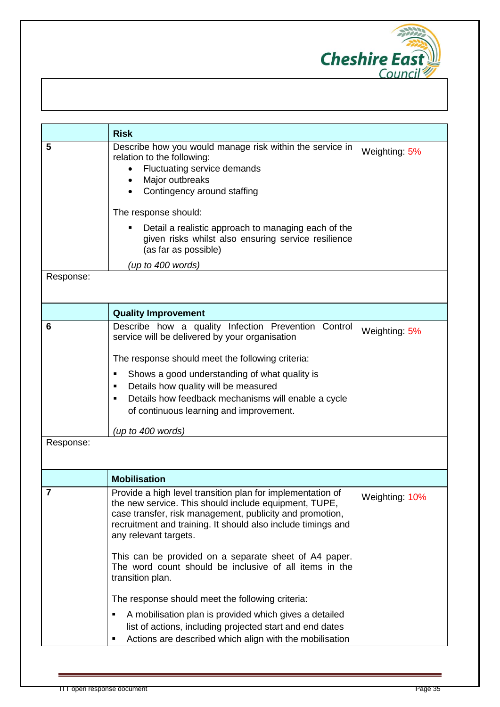

|                | <b>Risk</b>                                                                                                                                                                                                                                                                                                                                                          |                |
|----------------|----------------------------------------------------------------------------------------------------------------------------------------------------------------------------------------------------------------------------------------------------------------------------------------------------------------------------------------------------------------------|----------------|
| 5              | Describe how you would manage risk within the service in<br>relation to the following:<br>Fluctuating service demands<br>$\bullet$<br>Major outbreaks<br>Contingency around staffing<br>$\bullet$<br>The response should:<br>Detail a realistic approach to managing each of the<br>٠<br>given risks whilst also ensuring service resilience<br>(as far as possible) | Weighting: 5%  |
|                | (up to 400 words)                                                                                                                                                                                                                                                                                                                                                    |                |
| Response:      |                                                                                                                                                                                                                                                                                                                                                                      |                |
|                | <b>Quality Improvement</b>                                                                                                                                                                                                                                                                                                                                           |                |
| 6              | Describe how a quality Infection Prevention Control<br>service will be delivered by your organisation                                                                                                                                                                                                                                                                | Weighting: 5%  |
|                | The response should meet the following criteria:                                                                                                                                                                                                                                                                                                                     |                |
|                | Shows a good understanding of what quality is<br>П                                                                                                                                                                                                                                                                                                                   |                |
|                | Details how quality will be measured<br>п                                                                                                                                                                                                                                                                                                                            |                |
|                | Details how feedback mechanisms will enable a cycle<br>$\blacksquare$<br>of continuous learning and improvement.                                                                                                                                                                                                                                                     |                |
|                | (up to 400 words)                                                                                                                                                                                                                                                                                                                                                    |                |
| Response:      |                                                                                                                                                                                                                                                                                                                                                                      |                |
|                | <b>Mobilisation</b>                                                                                                                                                                                                                                                                                                                                                  |                |
| $\overline{7}$ | Provide a high level transition plan for implementation of<br>the new service. This should include equipment, TUPE,<br>case transfer, risk management, publicity and promotion,<br>recruitment and training. It should also include timings and<br>any relevant targets.                                                                                             | Weighting: 10% |
|                | This can be provided on a separate sheet of A4 paper.<br>The word count should be inclusive of all items in the<br>transition plan.                                                                                                                                                                                                                                  |                |
|                | The response should meet the following criteria:                                                                                                                                                                                                                                                                                                                     |                |
|                | A mobilisation plan is provided which gives a detailed<br>Е<br>list of actions, including projected start and end dates<br>Actions are described which align with the mobilisation<br>٠                                                                                                                                                                              |                |
|                |                                                                                                                                                                                                                                                                                                                                                                      |                |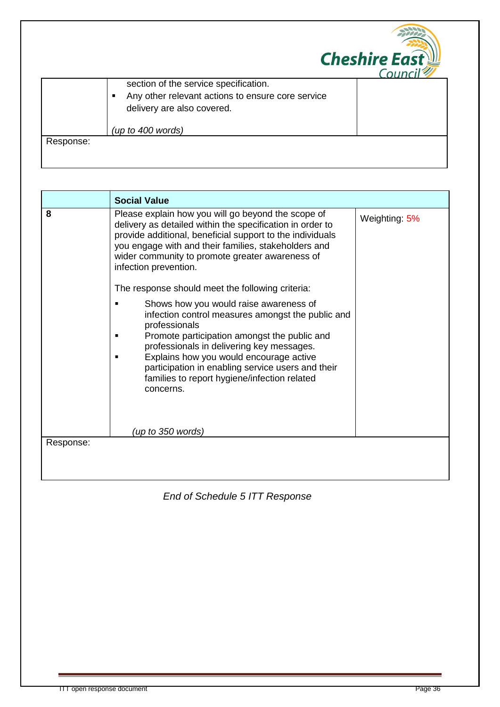|           |                                                                                                                                            | <b>Cheshire East</b><br>Convers |
|-----------|--------------------------------------------------------------------------------------------------------------------------------------------|---------------------------------|
|           | section of the service specification.<br>Any other relevant actions to ensure core service<br>$\blacksquare$<br>delivery are also covered. |                                 |
|           | (up to 400 words)                                                                                                                          |                                 |
| Response: |                                                                                                                                            |                                 |

|           | <b>Social Value</b>                                                                                                                                                                                                                                                                                                                                                                         |               |
|-----------|---------------------------------------------------------------------------------------------------------------------------------------------------------------------------------------------------------------------------------------------------------------------------------------------------------------------------------------------------------------------------------------------|---------------|
| 8         | Please explain how you will go beyond the scope of<br>delivery as detailed within the specification in order to<br>provide additional, beneficial support to the individuals<br>you engage with and their families, stakeholders and<br>wider community to promote greater awareness of<br>infection prevention.<br>The response should meet the following criteria:                        | Weighting: 5% |
|           | Shows how you would raise awareness of<br>infection control measures amongst the public and<br>professionals<br>Promote participation amongst the public and<br>professionals in delivering key messages.<br>Explains how you would encourage active<br>participation in enabling service users and their<br>families to report hygiene/infection related<br>concerns.<br>(up to 350 words) |               |
| Response: |                                                                                                                                                                                                                                                                                                                                                                                             |               |
|           |                                                                                                                                                                                                                                                                                                                                                                                             |               |

## *End of Schedule 5 ITT Response*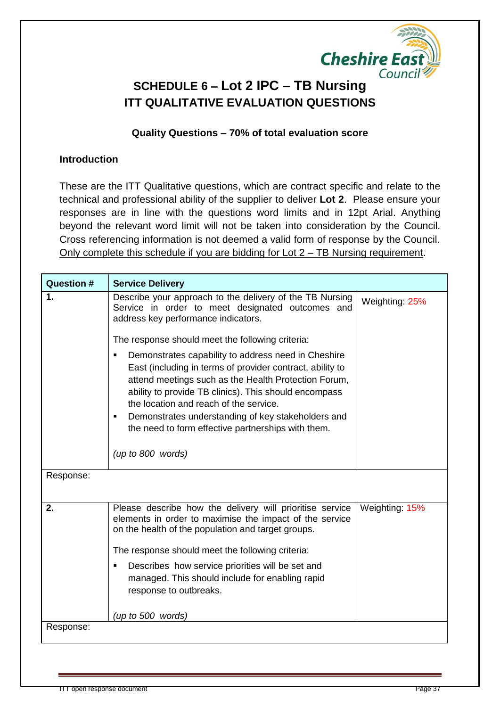

## **SCHEDULE 6 – Lot 2 IPC – TB Nursing ITT QUALITATIVE EVALUATION QUESTIONS**

#### **Quality Questions – 70% of total evaluation score**

#### **Introduction**

These are the ITT Qualitative questions, which are contract specific and relate to the technical and professional ability of the supplier to deliver **Lot 2**. Please ensure your responses are in line with the questions word limits and in 12pt Arial. Anything beyond the relevant word limit will not be taken into consideration by the Council. Cross referencing information is not deemed a valid form of response by the Council. Only complete this schedule if you are bidding for Lot 2 – TB Nursing requirement.

| Question # | <b>Service Delivery</b>                                                                                                                                                                                                                                                                                                                                                                 |                |
|------------|-----------------------------------------------------------------------------------------------------------------------------------------------------------------------------------------------------------------------------------------------------------------------------------------------------------------------------------------------------------------------------------------|----------------|
| 1.         | Describe your approach to the delivery of the TB Nursing<br>Service in order to meet designated outcomes and<br>address key performance indicators.                                                                                                                                                                                                                                     | Weighting: 25% |
|            | The response should meet the following criteria:                                                                                                                                                                                                                                                                                                                                        |                |
|            | Demonstrates capability to address need in Cheshire<br>East (including in terms of provider contract, ability to<br>attend meetings such as the Health Protection Forum,<br>ability to provide TB clinics). This should encompass<br>the location and reach of the service.<br>Demonstrates understanding of key stakeholders and<br>the need to form effective partnerships with them. |                |
|            | (up to 800 words)                                                                                                                                                                                                                                                                                                                                                                       |                |
| Response:  |                                                                                                                                                                                                                                                                                                                                                                                         |                |
| 2.         | Please describe how the delivery will prioritise service<br>elements in order to maximise the impact of the service<br>on the health of the population and target groups.<br>The response should meet the following criteria:                                                                                                                                                           | Weighting: 15% |
|            | Describes how service priorities will be set and<br>managed. This should include for enabling rapid<br>response to outbreaks.                                                                                                                                                                                                                                                           |                |
|            | (up to 500 words)                                                                                                                                                                                                                                                                                                                                                                       |                |
| Response:  |                                                                                                                                                                                                                                                                                                                                                                                         |                |
|            |                                                                                                                                                                                                                                                                                                                                                                                         |                |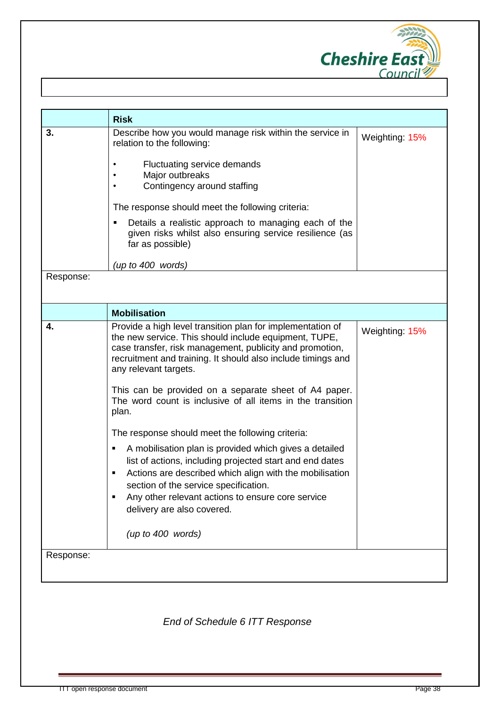

|           | <b>Risk</b>                                                                                                                                                                                                                                                                                                    |                |
|-----------|----------------------------------------------------------------------------------------------------------------------------------------------------------------------------------------------------------------------------------------------------------------------------------------------------------------|----------------|
| 3.        | Describe how you would manage risk within the service in<br>relation to the following:<br>Fluctuating service demands                                                                                                                                                                                          | Weighting: 15% |
|           | Major outbreaks<br>Contingency around staffing                                                                                                                                                                                                                                                                 |                |
|           | The response should meet the following criteria:                                                                                                                                                                                                                                                               |                |
|           | Details a realistic approach to managing each of the<br>given risks whilst also ensuring service resilience (as<br>far as possible)                                                                                                                                                                            |                |
|           | (up to 400 words)                                                                                                                                                                                                                                                                                              |                |
| Response: |                                                                                                                                                                                                                                                                                                                |                |
|           | <b>Mobilisation</b>                                                                                                                                                                                                                                                                                            |                |
| 4.        | Provide a high level transition plan for implementation of<br>the new service. This should include equipment, TUPE,<br>case transfer, risk management, publicity and promotion,<br>recruitment and training. It should also include timings and<br>any relevant targets.                                       | Weighting: 15% |
|           | This can be provided on a separate sheet of A4 paper.<br>The word count is inclusive of all items in the transition<br>plan.                                                                                                                                                                                   |                |
|           | The response should meet the following criteria:                                                                                                                                                                                                                                                               |                |
|           | A mobilisation plan is provided which gives a detailed<br>list of actions, including projected start and end dates<br>Actions are described which align with the mobilisation<br>section of the service specification.<br>Any other relevant actions to ensure core service<br>٠<br>delivery are also covered. |                |
|           | (up to 400 words)                                                                                                                                                                                                                                                                                              |                |
| Response: |                                                                                                                                                                                                                                                                                                                |                |

*End of Schedule 6 ITT Response*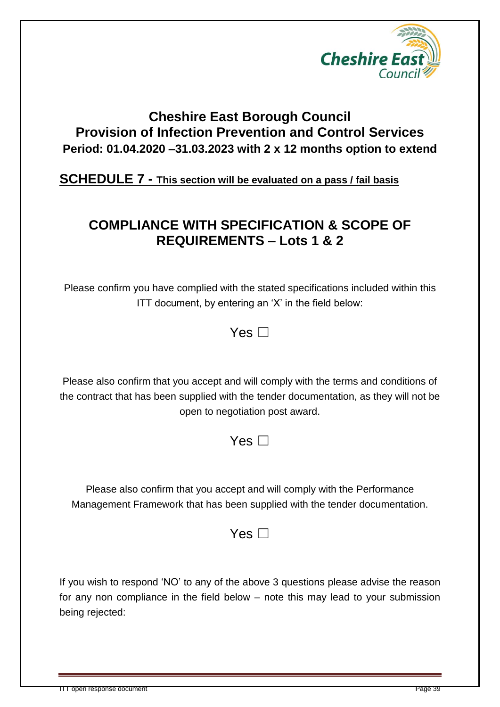

## **Cheshire East Borough Council Provision of Infection Prevention and Control Services Period: 01.04.2020 –31.03.2023 with 2 x 12 months option to extend**

**SCHEDULE 7 - This section will be evaluated on a pass / fail basis**

## **COMPLIANCE WITH SPECIFICATION & SCOPE OF REQUIREMENTS – Lots 1 & 2**

Please confirm you have complied with the stated specifications included within this ITT document, by entering an 'X' in the field below:

 $Yes \Box$ 

Please also confirm that you accept and will comply with the terms and conditions of the contract that has been supplied with the tender documentation, as they will not be open to negotiation post award.

Yes  $\Box$ 

Please also confirm that you accept and will comply with the Performance Management Framework that has been supplied with the tender documentation.

Yes  $\Box$ 

If you wish to respond 'NO' to any of the above 3 questions please advise the reason for any non compliance in the field below – note this may lead to your submission being rejected: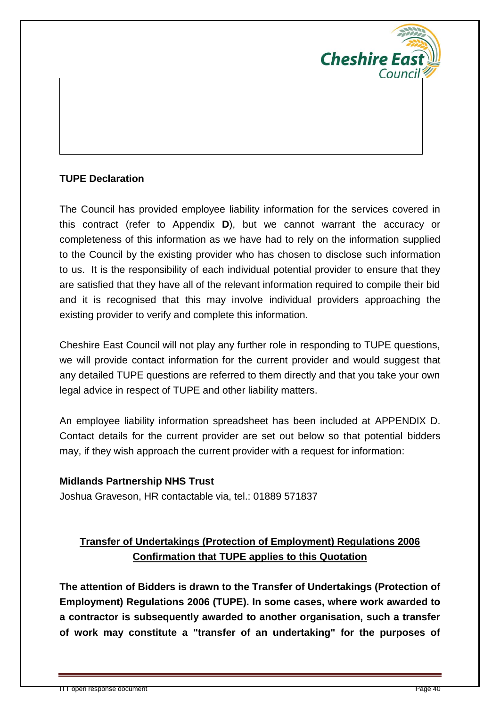

## **TUPE Declaration**

The Council has provided employee liability information for the services covered in this contract (refer to Appendix **D**), but we cannot warrant the accuracy or completeness of this information as we have had to rely on the information supplied to the Council by the existing provider who has chosen to disclose such information to us. It is the responsibility of each individual potential provider to ensure that they are satisfied that they have all of the relevant information required to compile their bid and it is recognised that this may involve individual providers approaching the existing provider to verify and complete this information.

Cheshire East Council will not play any further role in responding to TUPE questions, we will provide contact information for the current provider and would suggest that any detailed TUPE questions are referred to them directly and that you take your own legal advice in respect of TUPE and other liability matters.

An employee liability information spreadsheet has been included at APPENDIX D. Contact details for the current provider are set out below so that potential bidders may, if they wish approach the current provider with a request for information:

#### **Midlands Partnership NHS Trust**

Joshua Graveson, HR contactable via, tel.: 01889 571837

## **Transfer of Undertakings (Protection of Employment) Regulations 2006 Confirmation that TUPE applies to this Quotation**

**The attention of Bidders is drawn to the Transfer of Undertakings (Protection of Employment) Regulations 2006 (TUPE). In some cases, where work awarded to a contractor is subsequently awarded to another organisation, such a transfer of work may constitute a "transfer of an undertaking" for the purposes of**